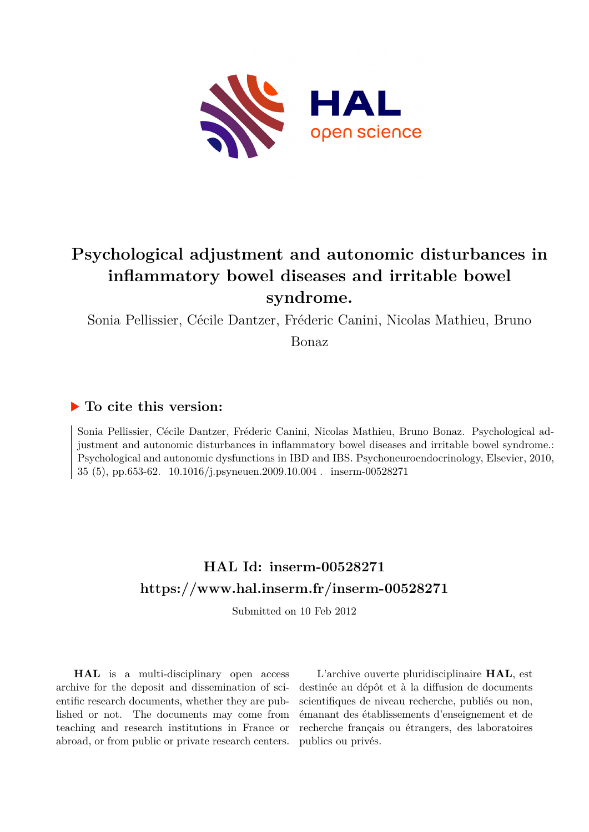

## **Psychological adjustment and autonomic disturbances in inflammatory bowel diseases and irritable bowel syndrome.**

Sonia Pellissier, Cécile Dantzer, Fréderic Canini, Nicolas Mathieu, Bruno

Bonaz

## **To cite this version:**

Sonia Pellissier, Cécile Dantzer, Fréderic Canini, Nicolas Mathieu, Bruno Bonaz. Psychological adjustment and autonomic disturbances in inflammatory bowel diseases and irritable bowel syndrome.: Psychological and autonomic dysfunctions in IBD and IBS. Psychoneuroendocrinology, Elsevier, 2010, 35 (5), pp.653-62.  $10.1016/j.$ psyneuen.2009.10.004. inserm-00528271

## **HAL Id: inserm-00528271 <https://www.hal.inserm.fr/inserm-00528271>**

Submitted on 10 Feb 2012

**HAL** is a multi-disciplinary open access archive for the deposit and dissemination of scientific research documents, whether they are published or not. The documents may come from teaching and research institutions in France or abroad, or from public or private research centers.

L'archive ouverte pluridisciplinaire **HAL**, est destinée au dépôt et à la diffusion de documents scientifiques de niveau recherche, publiés ou non, émanant des établissements d'enseignement et de recherche français ou étrangers, des laboratoires publics ou privés.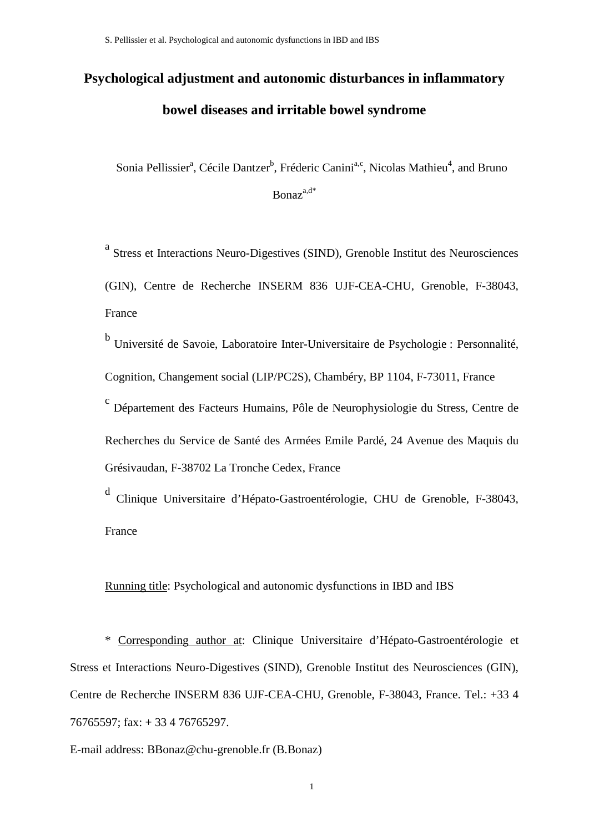## **Psychological adjustment and autonomic disturbances in inflammatory bowel diseases and irritable bowel syndrome**

Sonia Pellissier<sup>a</sup>, Cécile Dantzer<sup>b</sup>, Fréderic Canini<sup>a,c</sup>, Nicolas Mathieu<sup>4</sup>, and Bruno  $Bonaz^{a,d*}$ 

<sup>a</sup> Stress et Interactions Neuro-Digestives (SIND), Grenoble Institut des Neurosciences (GIN), Centre de Recherche INSERM 836 UJF-CEA-CHU, Grenoble, F-38043, France

<sup>b</sup> Université de Savoie, Laboratoire Inter-Universitaire de Psychologie : Personnalité, Cognition, Changement social (LIP/PC2S), Chambéry, BP 1104, F-73011, France <sup>c</sup> Département des Facteurs Humains, Pôle de Neurophysiologie du Stress, Centre de Recherches du Service de Santé des Armées Emile Pardé, 24 Avenue des Maquis du Grésivaudan, F-38702 La Tronche Cedex, France

<sup>d</sup> Clinique Universitaire d'Hépato-Gastroentérologie, CHU de Grenoble, F-38043, France

Running title: Psychological and autonomic dysfunctions in IBD and IBS

\* Corresponding author at : Clinique Universitaire d'Hépato-Gastroentérologie et Stress et Interactions Neuro-Digestives (SIND), Grenoble Institut des Neurosciences (GIN), Centre de Recherche INSERM 836 UJF-CEA-CHU, Grenoble, F-38043, France. Tel.: +33 4 76765597; fax: + 33 4 76765297.

E-mail address: [BBonaz@chu-grenoble.fr](mailto:BBonaz@chu-grenoble.fr) (B.Bonaz)

1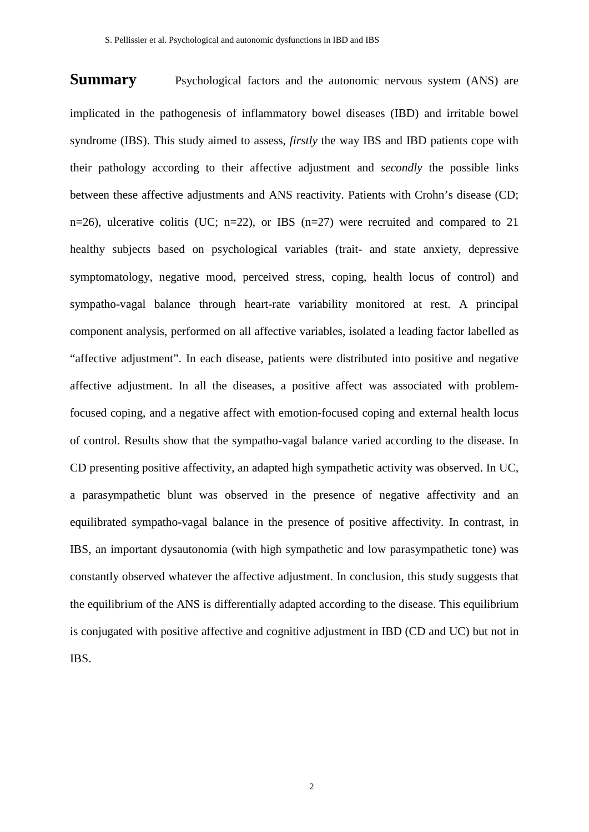**Summary** Psychological factors and the autonomic nervous system (ANS) are implicated in the pathogenesis of inflammatory bowel diseases (IBD) and irritable bowel syndrome (IBS). This study aimed to assess, *firstly* the way IBS and IBD patients cope with their pathology according to their affective adjustment and *secondly* the possible links between these affective adjustments and ANS reactivity. Patients with Crohn's disease (CD; n=26), ulcerative colitis (UC; n=22), or IBS (n=27) were recruited and compared to 21 healthy subjects based on psychological variables (trait- and state anxiety, depressive symptomatology, negative mood, perceived stress, coping, health locus of control) and sympatho-vagal balance through heart-rate variability monitored at rest. A principal component analysis, performed on all affective variables, isolated a leading factor labelled as "affective adjustment". In each disease, patients were distributed into positive and negative affective adjustment. In all the diseases, a positive affect was associated with problemfocused coping, and a negative affect with emotion-focused coping and external health locus of control. Results show that the sympatho-vagal balance varied according to the disease. In CD presenting positive affectivity, an adapted high sympathetic activity was observed. In UC, a parasympathetic blunt was observed in the presence of negative affectivity and an equilibrated sympatho-vagal balance in the presence of positive affectivity. In contrast, in IBS, an important dysautonomia (with high sympathetic and low parasympathetic tone) was constantly observed whatever the affective adjustment. In conclusion, this study suggests that the equilibrium of the ANS is differentially adapted according to the disease. This equilibrium is conjugated with positive affective and cognitive adjustment in IBD (CD and UC) but not in IBS.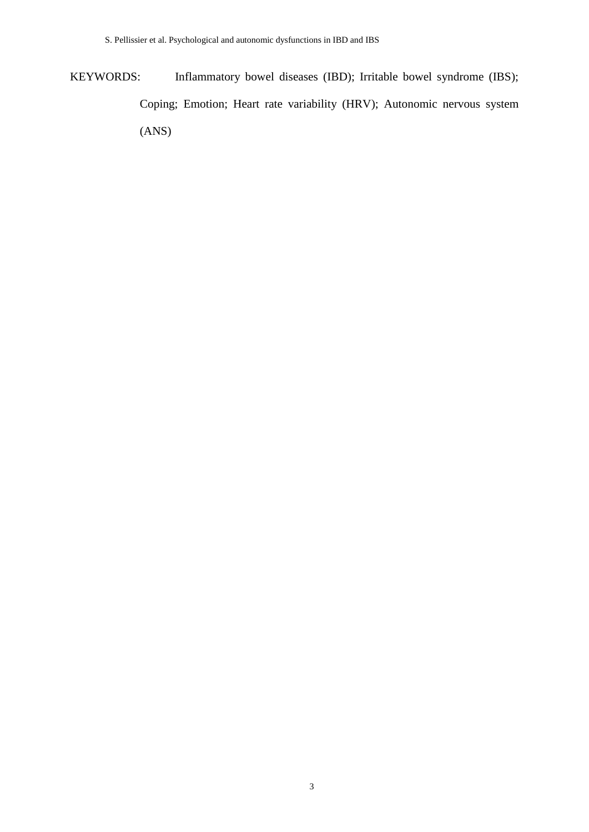KEYWORDS: Inflammatory bowel diseases (IBD); Irritable bowel syndrome (IBS); Coping; Emotion; Heart rate variability (HRV); Autonomic nervous system (ANS)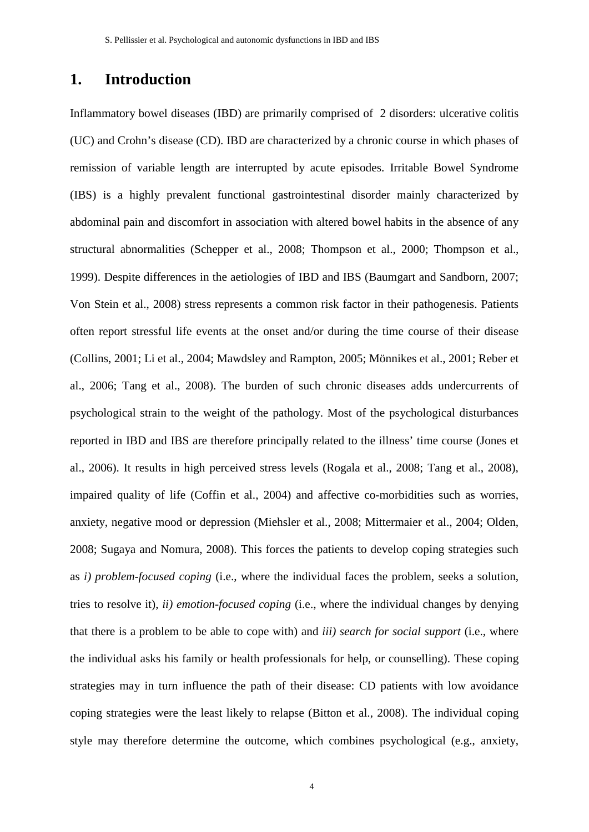## **1. Introduction**

Inflammatory bowel diseases (IBD) are primarily comprised of 2 disorders: ulcerative colitis (UC) and Crohn's disease (CD). IBD are characterized by a chronic course in which phases of remission of variable length are interrupted by acute episodes. Irritable Bowel Syndrome (IBS) is a highly prevalent functional gastrointestinal disorder mainly characterized by abdominal pain and discomfort in association with altered bowel habits in the absence of any structural abnormalities (Schepper et al., 2008; Thompson et al., 2000; Thompson et al., 1999). Despite differences in the aetiologies of IBD and IBS (Baumgart and Sandborn, 2007; Von Stein et al., 2008) stress represents a common risk factor in their pathogenesis. Patients often report stressful life events at the onset and/or during the time course of their disease (Collins, 2001; Li et al., 2004; Mawdsley and Rampton, 2005; Mönnikes et al., 2001; Reber et al., 2006; Tang et al., 2008). The burden of such chronic diseases adds undercurrents of psychological strain to the weight of the pathology. Most of the psychological disturbances reported in IBD and IBS are therefore principally related to the illness' time course (Jones et al., 2006). It results in high perceived stress levels (Rogala et al., 2008; Tang et al., 2008), impaired quality of life (Coffin et al., 2004) and affective co-morbidities such as worries, anxiety, negative mood or depression (Miehsler et al., 2008; Mittermaier et al., 2004; Olden, 2008; Sugaya and Nomura, 2008). This forces the patients to develop coping strategies such as *i) problem-focused coping* (i.e., where the individual faces the problem, seeks a solution, tries to resolve it), *ii) emotion-focused coping* (i.e., where the individual changes by denying that there is a problem to be able to cope with) and *iii) search for social support* (i.e., where the individual asks his family or health professionals for help, or counselling). These coping strategies may in turn influence the path of their disease: CD patients with low avoidance coping strategies were the least likely to relapse (Bitton et al., 2008). The individual coping style may therefore determine the outcome, which combines psychological (e.g., anxiety,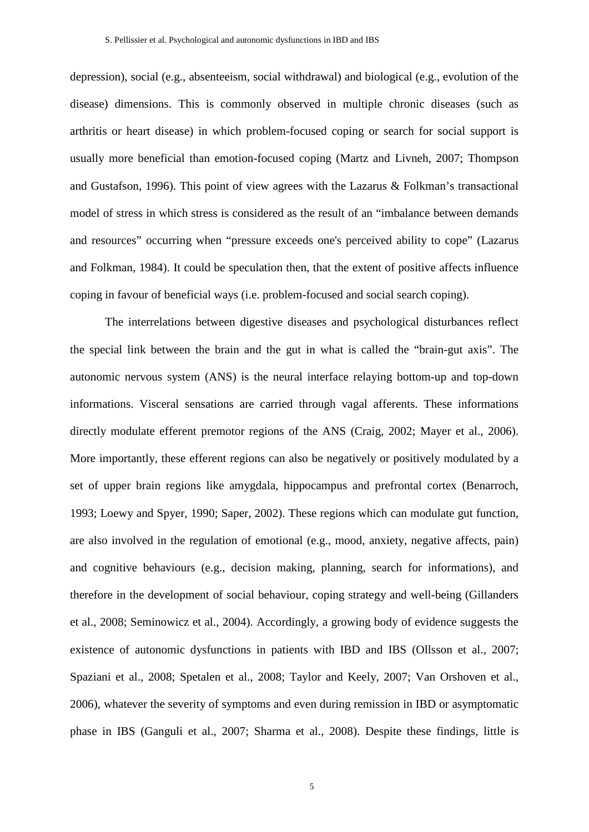depression), social (e.g., absenteeism, social withdrawal) and biological (e.g., evolution of the disease) dimensions. This is commonly observed in multiple chronic diseases (such as arthritis or heart disease) in which problem-focused coping or search for social support is usually more beneficial than emotion-focused coping (Martz and Livneh, 2007; Thompson and Gustafson, 1996). This point of view agrees with the Lazarus & Folkman's transactional model of stress in which stress is considered as the result of an "imbalance between demands and resources" occurring when "pressure exceeds one's perceived ability to cope" (Lazarus and Folkman, 1984). It could be speculation then, that the extent of positive affects influence coping in favour of beneficial ways (i.e. problem-focused and social search coping).

The interrelations between digestive diseases and psychological disturbances reflect the special link between the brain and the gut in what is called the "brain-gut axis". The autonomic nervous system (ANS) is the neural interface relaying bottom-up and top-down informations. Visceral sensations are carried through vagal afferents. These informations directly modulate efferent premotor regions of the ANS (Craig, 2002; Mayer et al., 2006). More importantly, these efferent regions can also be negatively or positively modulated by a set of upper brain regions like amygdala, hippocampus and prefrontal cortex (Benarroch, 1993; Loewy and Spyer, 1990; Saper, 2002). These regions which can modulate gut function, are also involved in the regulation of emotional (e.g., mood, anxiety, negative affects, pain) and cognitive behaviours (e.g., decision making, planning, search for informations), and therefore in the development of social behaviour, coping strategy and well-being (Gillanders et al., 2008; Seminowicz et al., 2004). Accordingly, a growing body of evidence suggests the existence of autonomic dysfunctions in patients with IBD and IBS (Ollsson et al., 2007; Spaziani et al., 2008; Spetalen et al., 2008; Taylor and Keely, 2007; Van Orshoven et al., 2006), whatever the severity of symptoms and even during remission in IBD or asymptomatic phase in IBS (Ganguli et al., 2007; Sharma et al., 2008). Despite these findings, little is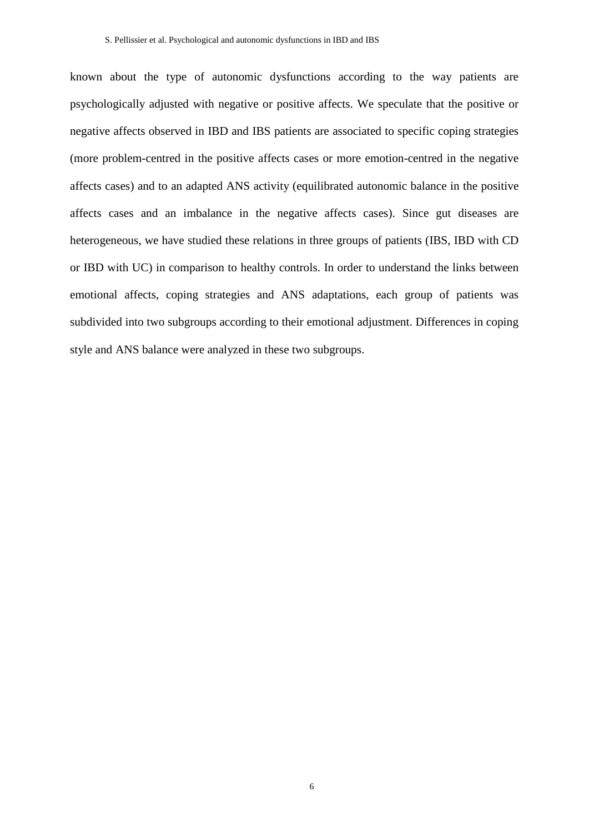known about the type of autonomic dysfunctions according to the way patients are psychologically adjusted with negative or positive affects. We speculate that the positive or negative affects observed in IBD and IBS patients are associated to specific coping strategies (more problem-centred in the positive affects cases or more emotion-centred in the negative affects cases) and to an adapted ANS activity (equilibrated autonomic balance in the positive affects cases and an imbalance in the negative affects cases). Since gut diseases are heterogeneous, we have studied these relations in three groups of patients (IBS, IBD with CD or IBD with UC) in comparison to healthy controls. In order to understand the links between emotional affects, coping strategies and ANS adaptations, each group of patients was subdivided into two subgroups according to their emotional adjustment. Differences in coping style and ANS balance were analyzed in these two subgroups.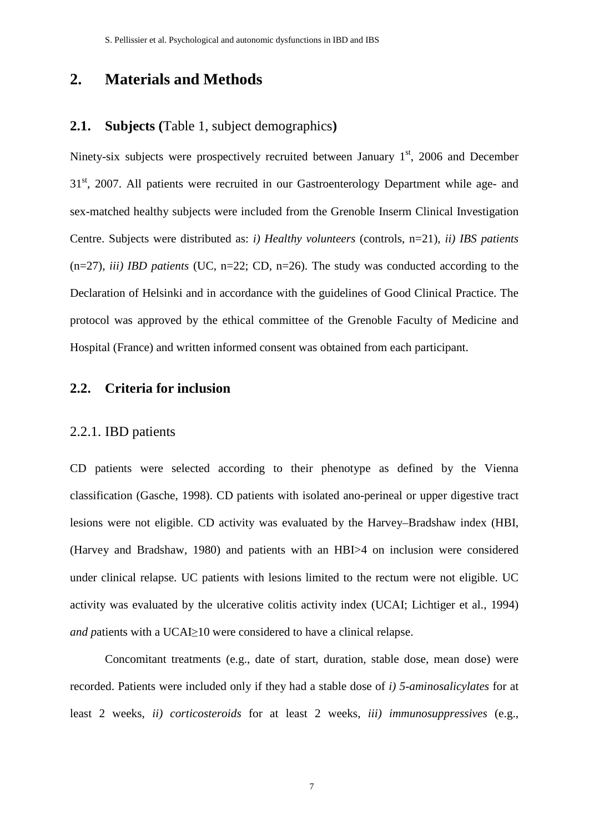## **2. Materials and Methods**

#### **2.1. Subjects (**Table 1, subject demographics**)**

Ninety-six subjects were prospectively recruited between January  $1<sup>st</sup>$ , 2006 and December 31<sup>st</sup>, 2007. All patients were recruited in our Gastroenterology Department while age- and sex-matched healthy subjects were included from the Grenoble Inserm Clinical Investigation Centre. Subjects were distributed as: *i) Healthy volunteers* (controls, n=21), *ii) IBS patients* (n=27), *iii) IBD patients* (UC, n=22; CD, n=26). The study was conducted according to the Declaration of Helsinki and in accordance with the guidelines of Good Clinical Practice. The protocol was approved by the ethical committee of the Grenoble Faculty of Medicine and Hospital (France) and written informed consent was obtained from each participant.

## **2.2. Criteria for inclusion**

## 2.2.1. IBD patients

CD patients were selected according to their phenotype as defined by the Vienna classification (Gasche, 1998). CD patients with isolated ano-perineal or upper digestive tract lesions were not eligible. CD activity was evaluated by the Harvey–Bradshaw index (HBI, (Harvey and Bradshaw, 1980) and patients with an HBI>4 on inclusion were considered under clinical relapse. UC patients with lesions limited to the rectum were not eligible. UC activity was evaluated by the ulcerative colitis activity index (UCAI; Lichtiger et al., 1994) *and patients with a UCAI*≥10 were considered to have a clinical relapse.

Concomitant treatments (e.g., date of start, duration, stable dose, mean dose) were recorded. Patients were included only if they had a stable dose of *i) 5-aminosalicylates* for at least 2 weeks, *ii) corticosteroids* for at least 2 weeks, *iii) immunosuppressives* (e.g.,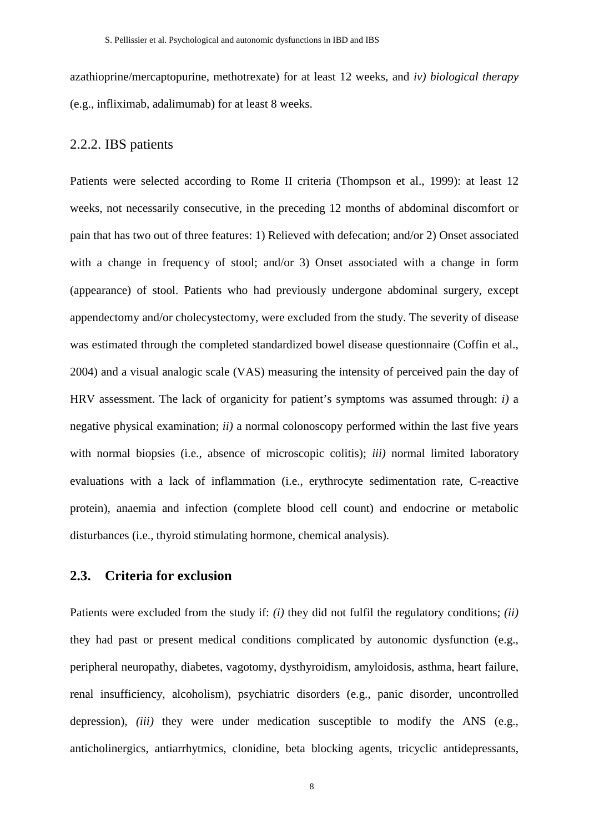azathioprine/mercaptopurine, methotrexate) for at least 12 weeks, and *iv) biological therapy* (e.g., infliximab, adalimumab) for at least 8 weeks.

#### 2.2.2. IBS patients

Patients were selected according to Rome II criteria (Thompson et al., 1999): at least 12 weeks, not necessarily consecutive, in the preceding 12 months of abdominal discomfort or pain that has two out of three features: 1) Relieved with defecation; and/or 2) Onset associated with a change in frequency of stool; and/or 3) Onset associated with a change in form (appearance) of stool. Patients who had previously undergone abdominal surgery, except appendectomy and/or cholecystectomy, were excluded from the study. The severity of disease was estimated through the completed standardized bowel disease questionnaire (Coffin et al., 2004) and a visual analogic scale (VAS) measuring the intensity of perceived pain the day of HRV assessment. The lack of organicity for patient's symptoms was assumed through: *i)* a negative physical examination; *ii)* a normal colonoscopy performed within the last five years with normal biopsies (i.e., absence of microscopic colitis); *iii*) normal limited laboratory evaluations with a lack of inflammation (i.e., erythrocyte sedimentation rate, C-reactive protein), anaemia and infection (complete blood cell count) and endocrine or metabolic disturbances (i.e., thyroid stimulating hormone, chemical analysis).

## **2.3. Criteria for exclusion**

Patients were excluded from the study if: *(i)* they did not fulfil the regulatory conditions; *(ii)* they had past or present medical conditions complicated by autonomic dysfunction (e.g., peripheral neuropathy, diabetes, vagotomy, dysthyroidism, amyloidosis, asthma, heart failure, renal insufficiency, alcoholism), psychiatric disorders (e.g., panic disorder, uncontrolled depression), *(iii)* they were under medication susceptible to modify the ANS (e.g., anticholinergics, antiarrhytmics, clonidine, beta blocking agents, tricyclic antidepressants,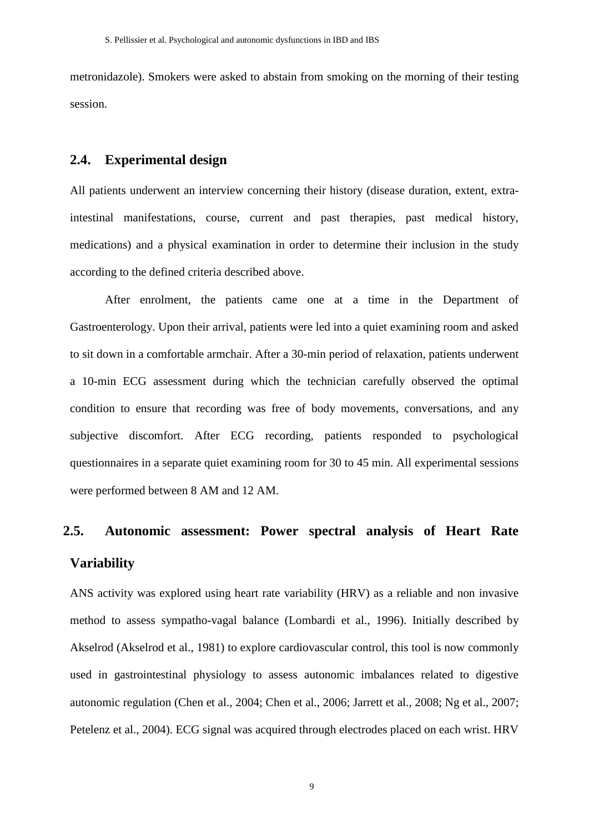metronidazole). Smokers were asked to abstain from smoking on the morning of their testing session.

## **2.4. Experimental design**

All patients underwent an interview concerning their history (disease duration, extent, extraintestinal manifestations, course, current and past therapies, past medical history, medications) and a physical examination in order to determine their inclusion in the study according to the defined criteria described above.

After enrolment, the patients came one at a time in the Department of Gastroenterology. Upon their arrival, patients were led into a quiet examining room and asked to sit down in a comfortable armchair. After a 30-min period of relaxation, patients underwent a 10-min ECG assessment during which the technician carefully observed the optimal condition to ensure that recording was free of body movements, conversations, and any subjective discomfort. After ECG recording, patients responded to psychological questionnaires in a separate quiet examining room for 30 to 45 min. All experimental sessions were performed between 8 AM and 12 AM.

# **2.5. Autonomic assessment: Power spectral analysis of Heart Rate Variability**

ANS activity was explored using heart rate variability (HRV) as a reliable and non invasive method to assess sympatho-vagal balance (Lombardi et al., 1996). Initially described by Akselrod (Akselrod et al., 1981) to explore cardiovascular control, this tool is now commonly used in gastrointestinal physiology to assess autonomic imbalances related to digestive autonomic regulation (Chen et al., 2004; Chen et al., 2006; Jarrett et al., 2008; Ng et al., 2007; Petelenz et al., 2004). ECG signal was acquired through electrodes placed on each wrist. HRV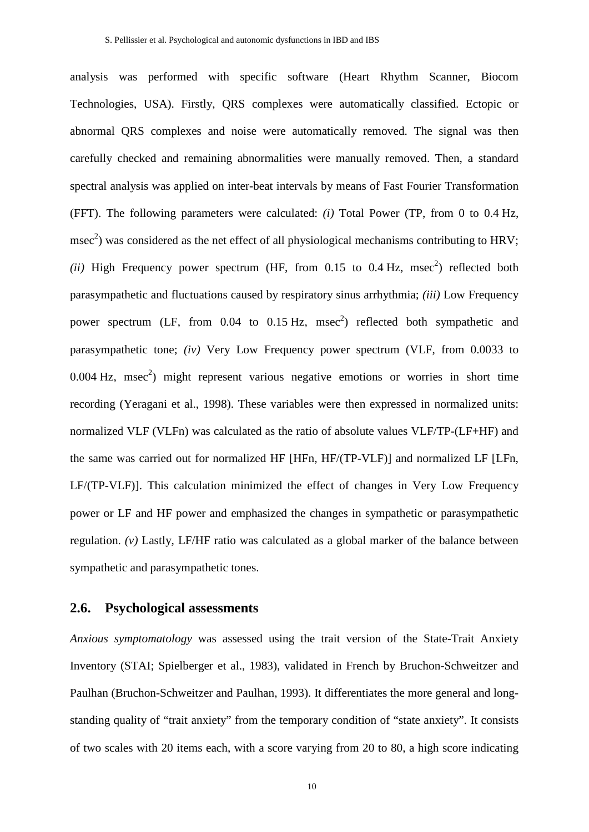analysis was performed with specific software (Heart Rhythm Scanner, Biocom Technologies, USA). Firstly, QRS complexes were automatically classified. Ectopic or abnormal QRS complexes and noise were automatically removed. The signal was then carefully checked and remaining abnormalities were manually removed. Then, a standard spectral analysis was applied on inter-beat intervals by means of Fast Fourier Transformation (FFT). The following parameters were calculated: *(i)* Total Power (TP, from 0 to 0.4 Hz, msec<sup>2</sup>) was considered as the net effect of all physiological mechanisms contributing to HRV; (*ii*) High Frequency power spectrum (HF, from  $0.15$  to  $0.4$  Hz, msec<sup>2</sup>) reflected both parasympathetic and fluctuations caused by respiratory sinus arrhythmia; *(iii)* Low Frequency power spectrum (LF, from  $0.04$  to  $0.15$  Hz, msec<sup>2</sup>) reflected both sympathetic and parasympathetic tone; *(iv)* Very Low Frequency power spectrum (VLF, from 0.0033 to  $0.004$  Hz, msec<sup>2</sup>) might represent various negative emotions or worries in short time recording (Yeragani et al., 1998). These variables were then expressed in normalized units: normalized VLF (VLFn) was calculated as the ratio of absolute values VLF/TP-(LF+HF) and the same was carried out for normalized HF [HFn, HF/(TP-VLF)] and normalized LF [LFn, LF/(TP-VLF)]. This calculation minimized the effect of changes in Very Low Frequency power or LF and HF power and emphasized the changes in sympathetic or parasympathetic regulation. *(v)* Lastly, LF/HF ratio was calculated as a global marker of the balance between sympathetic and parasympathetic tones.

### **2.6. Psychological assessments**

*Anxious symptomatology* was assessed using the trait version of the State-Trait Anxiety Inventory (STAI; Spielberger et al., 1983), validated in French by Bruchon-Schweitzer and Paulhan (Bruchon-Schweitzer and Paulhan, 1993). It differentiates the more general and longstanding quality of "trait anxiety" from the temporary condition of "state anxiety". It consists of two scales with 20 items each, with a score varying from 20 to 80, a high score indicating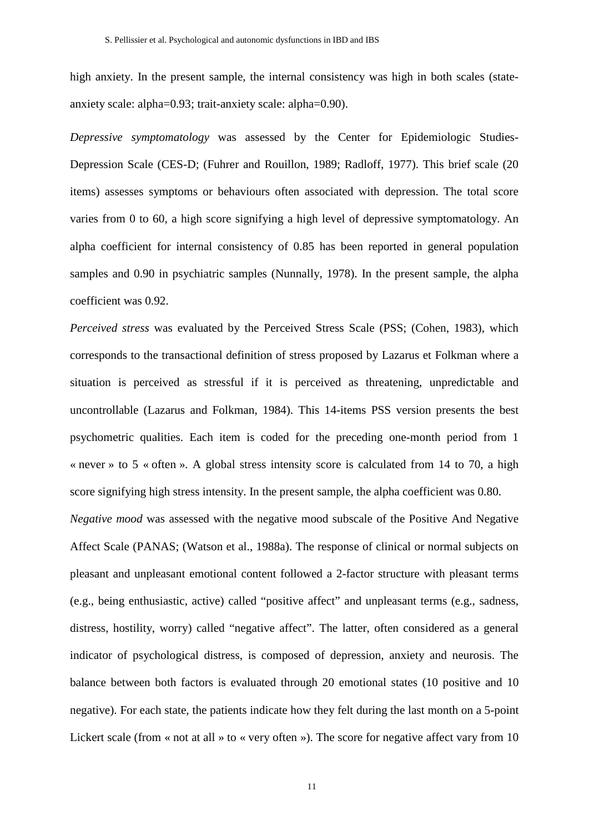high anxiety. In the present sample, the internal consistency was high in both scales (stateanxiety scale: alpha=0.93; trait-anxiety scale: alpha=0.90).

*Depressive symptomatology* was assessed by the Center for Epidemiologic Studies-Depression Scale (CES-D; (Fuhrer and Rouillon, 1989; Radloff, 1977). This brief scale (20 items) assesses symptoms or behaviours often associated with depression. The total score varies from 0 to 60, a high score signifying a high level of depressive symptomatology. An alpha coefficient for internal consistency of 0.85 has been reported in general population samples and 0.90 in psychiatric samples (Nunnally, 1978). In the present sample, the alpha coefficient was 0.92.

*Perceived stress* was evaluated by the Perceived Stress Scale (PSS; (Cohen, 1983), which corresponds to the transactional definition of stress proposed by Lazarus et Folkman where a situation is perceived as stressful if it is perceived as threatening, unpredictable and uncontrollable (Lazarus and Folkman, 1984). This 14-items PSS version presents the best psychometric qualities. Each item is coded for the preceding one-month period from 1 « never » to 5 « often ». A global stress intensity score is calculated from 14 to 70, a high score signifying high stress intensity. In the present sample, the alpha coefficient was 0.80.

*Negative mood* was assessed with the negative mood subscale of the Positive And Negative Affect Scale (PANAS; (Watson et al., 1988a). The response of clinical or normal subjects on pleasant and unpleasant emotional content followed a 2-factor structure with pleasant terms (e.g., being enthusiastic, active) called "positive affect" and unpleasant terms (e.g., sadness, distress, hostility, worry) called "negative affect". The latter, often considered as a general indicator of psychological distress, is composed of depression, anxiety and neurosis. The balance between both factors is evaluated through 20 emotional states (10 positive and 10 negative). For each state, the patients indicate how they felt during the last month on a 5-point Lickert scale (from « not at all » to « very often »). The score for negative affect vary from 10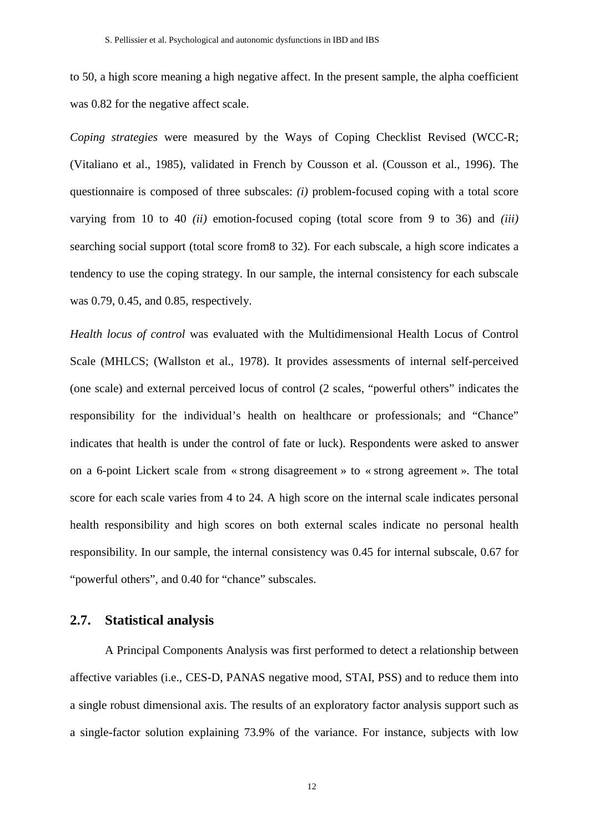to 50, a high score meaning a high negative affect. In the present sample, the alpha coefficient was 0.82 for the negative affect scale.

*Coping strategies* were measured by the Ways of Coping Checklist Revised (WCC-R; (Vitaliano et al., 1985), validated in French by Cousson et al. (Cousson et al., 1996). The questionnaire is composed of three subscales: *(i)* problem-focused coping with a total score varying from 10 to 40 *(ii)* emotion-focused coping (total score from 9 to 36) and *(iii)* searching social support (total score from8 to 32). For each subscale, a high score indicates a tendency to use the coping strategy. In our sample, the internal consistency for each subscale was 0.79, 0.45, and 0.85, respectively.

*Health locus of control* was evaluated with the Multidimensional Health Locus of Control Scale (MHLCS; (Wallston et al., 1978). It provides assessments of internal self-perceived (one scale) and external perceived locus of control (2 scales, "powerful others" indicates the responsibility for the individual's health on healthcare or professionals; and "Chance" indicates that health is under the control of fate or luck). Respondents were asked to answer on a 6-point Lickert scale from « strong disagreement » to « strong agreement ». The total score for each scale varies from 4 to 24. A high score on the internal scale indicates personal health responsibility and high scores on both external scales indicate no personal health responsibility. In our sample, the internal consistency was 0.45 for internal subscale, 0.67 for "powerful others", and 0.40 for "chance" subscales.

#### **2.7. Statistical analysis**

A Principal Components Analysis was first performed to detect a relationship between affective variables (i.e., CES-D, PANAS negative mood, STAI, PSS) and to reduce them into a single robust dimensional axis. The results of an exploratory factor analysis support such as a single-factor solution explaining 73.9% of the variance. For instance, subjects with low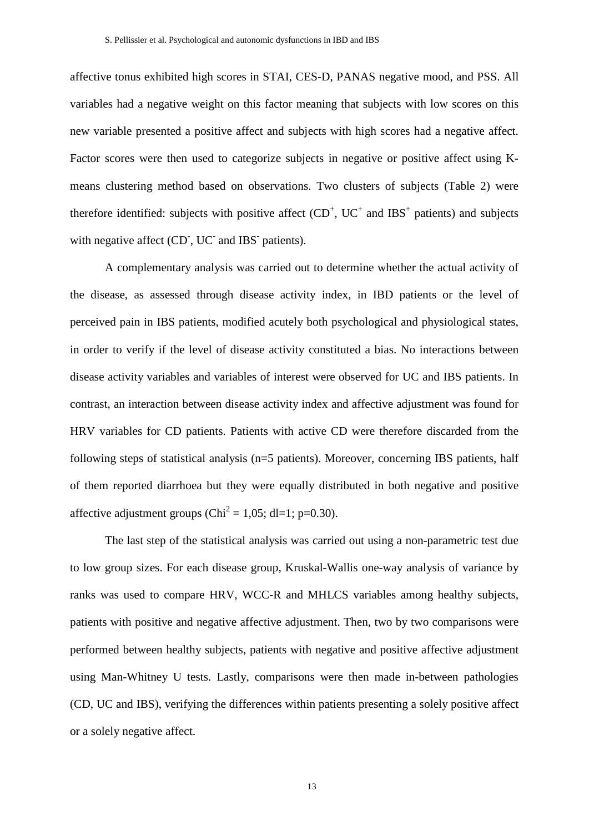affective tonus exhibited high scores in STAI, CES-D, PANAS negative mood, and PSS. All variables had a negative weight on this factor meaning that subjects with low scores on this new variable presented a positive affect and subjects with high scores had a negative affect. Factor scores were then used to categorize subjects in negative or positive affect using Kmeans clustering method based on observations. Two clusters of subjects (Table 2) were therefore identified: subjects with positive affect  $(CD^+$ ,  $UC^+$  and  $IBS^+$  patients) and subjects with negative affect (CD<sup>-</sup>, UC<sup>-</sup> and IBS<sup>-</sup> patients).

A complementary analysis was carried out to determine whether the actual activity of the disease, as assessed through disease activity index, in IBD patients or the level of perceived pain in IBS patients, modified acutely both psychological and physiological states, in order to verify if the level of disease activity constituted a bias. No interactions between disease activity variables and variables of interest were observed for UC and IBS patients. In contrast, an interaction between disease activity index and affective adjustment was found for HRV variables for CD patients. Patients with active CD were therefore discarded from the following steps of statistical analysis (n=5 patients). Moreover, concerning IBS patients, half of them reported diarrhoea but they were equally distributed in both negative and positive affective adjustment groups (Chi<sup>2</sup> = 1,05; dl=1; p=0.30).

The last step of the statistical analysis was carried out using a non-parametric test due to low group sizes. For each disease group, Kruskal-Wallis one-way analysis of variance by ranks was used to compare HRV, WCC-R and MHLCS variables among healthy subjects, patients with positive and negative affective adjustment. Then, two by two comparisons were performed between healthy subjects, patients with negative and positive affective adjustment using Man-Whitney U tests. Lastly, comparisons were then made in-between pathologies (CD, UC and IBS), verifying the differences within patients presenting a solely positive affect or a solely negative affect.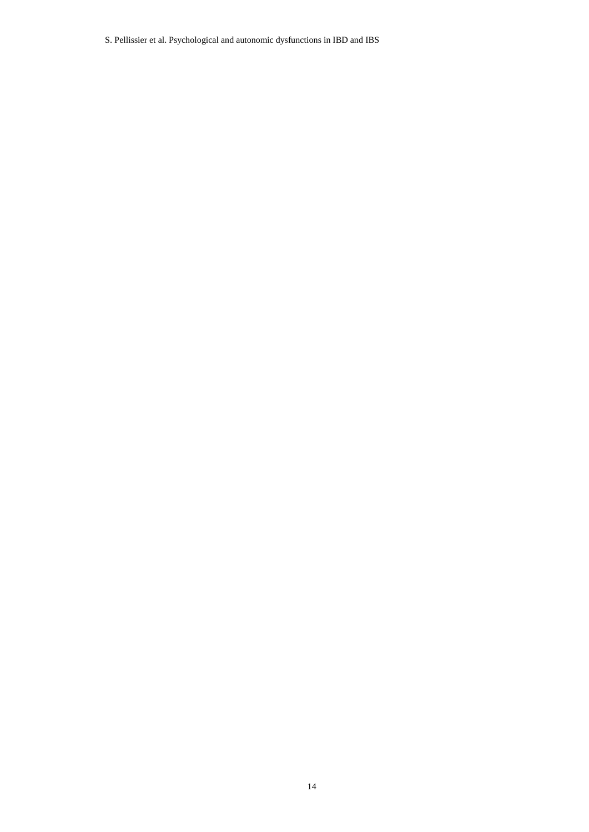S. Pellissier et al. Psychological and autonomic dysfunctions in IBD and IBS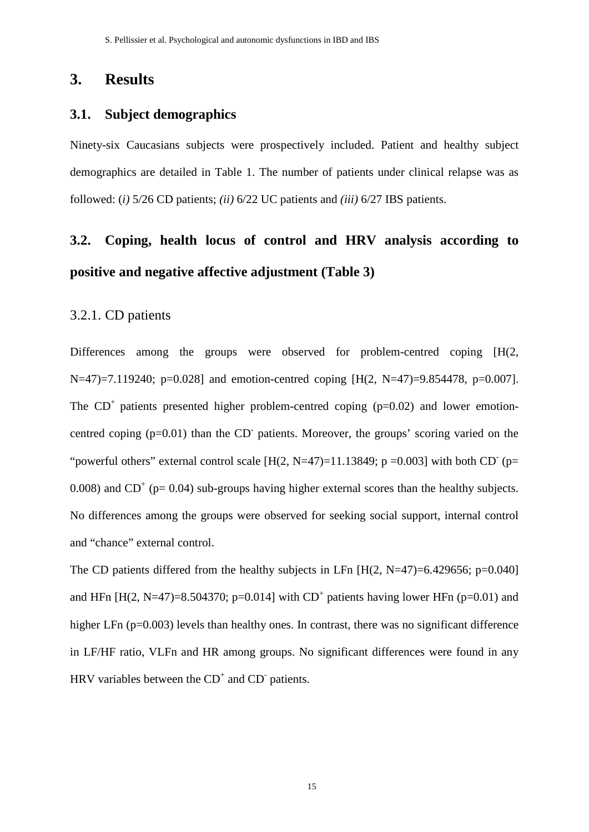## **3. Results**

## **3.1. Subject demographics**

Ninety-six Caucasians subjects were prospectively included. Patient and healthy subject demographics are detailed in Table 1. The number of patients under clinical relapse was as followed: (*i)* 5/26 CD patients; *(ii)* 6/22 UC patients and *(iii)* 6/27 IBS patients.

## **3.2. Coping, health locus of control and HRV analysis according to positive and negative affective adjustment (Table 3)**

## 3.2.1. CD patients

Differences among the groups were observed for problem-centred coping [H(2, N=47)=7.119240; p=0.028] and emotion-centred coping [H(2, N=47)=9.854478, p=0.007]. The  $CD^+$  patients presented higher problem-centred coping (p=0.02) and lower emotioncentred coping  $(p=0.01)$  than the CD<sup>-</sup> patients. Moreover, the groups' scoring varied on the "powerful others" external control scale  $[H(2, N=47)=11.13849; p = 0.003]$  with both CD (p= 0.008) and  $CD^+$  (p= 0.04) sub-groups having higher external scores than the healthy subjects. No differences among the groups were observed for seeking social support, internal control and "chance" external control.

The CD patients differed from the healthy subjects in LFn  $[H(2, N=47)=6.429656; p=0.040]$ and HFn  $[H(2, N=47)=8.504370$ ; p=0.014] with  $CD^+$  patients having lower HFn (p=0.01) and higher LFn (p=0.003) levels than healthy ones. In contrast, there was no significant difference in LF/HF ratio, VLFn and HR among groups. No significant differences were found in any HRV variables between the  $CD^+$  and  $CD^-$  patients.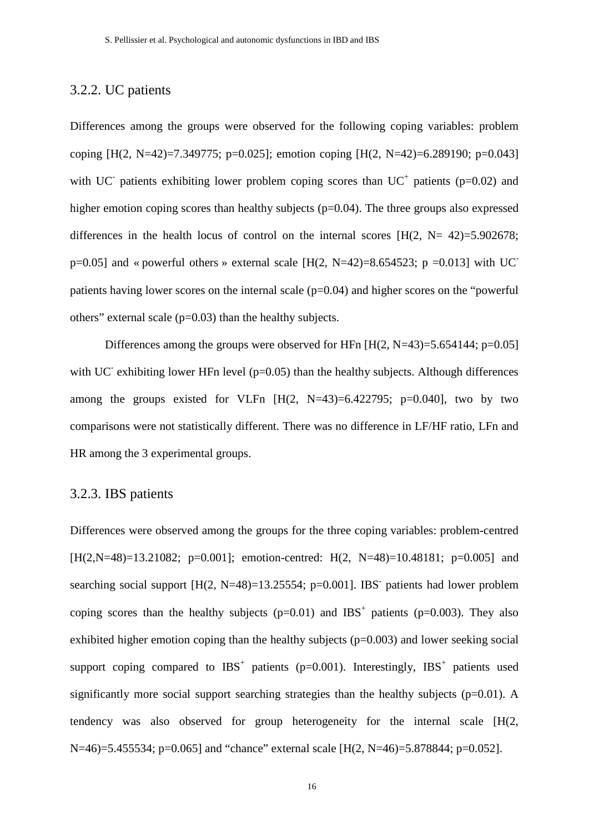## 3.2.2. UC patients

Differences among the groups were observed for the following coping variables: problem coping  $[H(2, N=42)=7.349775; p=0.025]$ ; emotion coping  $[H(2, N=42)=6.289190; p=0.043]$ with UC<sup>-</sup> patients exhibiting lower problem coping scores than UC<sup>+</sup> patients ( $p=0.02$ ) and higher emotion coping scores than healthy subjects (p=0.04). The three groups also expressed differences in the health locus of control on the internal scores  $[H(2, N= 42)=5.902678]$ ; p=0.05] and « powerful others » external scale [H(2, N=42)=8.654523; p =0.013] with UC<sup>-</sup> patients having lower scores on the internal scale (p=0.04) and higher scores on the "powerful others" external scale  $(p=0.03)$  than the healthy subjects.

Differences among the groups were observed for HFn  $[H(2, N=43)=5.654144; p=0.05]$ with UC<sup>-</sup> exhibiting lower HFn level ( $p=0.05$ ) than the healthy subjects. Although differences among the groups existed for VLFn  $[H(2, N=43)=6.422795; p=0.040]$ , two by two comparisons were not statistically different. There was no difference in LF/HF ratio, LFn and HR among the 3 experimental groups.

#### 3.2.3. IBS patients

Differences were observed among the groups for the three coping variables: problem-centred [H(2,N=48)=13.21082; p=0.001]; emotion-centred: H(2, N=48)=10.48181; p=0.005] and searching social support  $[H(2, N=48)=13.25554; p=0.001]$ . IBS patients had lower problem coping scores than the healthy subjects ( $p=0.01$ ) and IBS<sup>+</sup> patients ( $p=0.003$ ). They also exhibited higher emotion coping than the healthy subjects (p=0.003) and lower seeking social support coping compared to  $IBS^+$  patients (p=0.001). Interestingly,  $IBS^+$  patients used significantly more social support searching strategies than the healthy subjects ( $p=0.01$ ). A tendency was also observed for group heterogeneity for the internal scale [H(2, N=46)=5.455534; p=0.065] and "chance" external scale [H(2, N=46)=5.878844; p=0.052].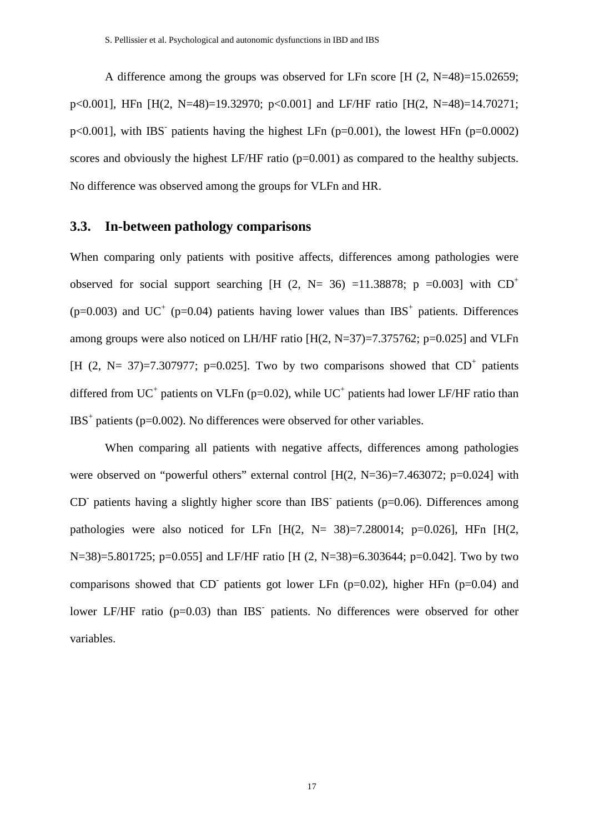A difference among the groups was observed for LFn score [H (2, N=48)=15.02659; p<0.001], HFn [H(2, N=48)=19.32970; p<0.001] and LF/HF ratio [H(2, N=48)=14.70271; p<0.001], with IBS patients having the highest LFn  $(p=0.001)$ , the lowest HFn  $(p=0.0002)$ scores and obviously the highest LF/HF ratio (p=0.001) as compared to the healthy subjects. No difference was observed among the groups for VLFn and HR.

#### **3.3. In-between pathology comparisons**

When comparing only patients with positive affects, differences among pathologies were observed for social support searching [H (2, N= 36) =11.38878; p =0.003] with  $CD^+$  $(p=0.003)$  and UC<sup>+</sup> (p=0.04) patients having lower values than IBS<sup>+</sup> patients. Differences among groups were also noticed on LH/HF ratio  $[H(2, N=37)=7.375762; p=0.025]$  and VLFn [H (2, N= 37)=7.307977; p=0.025]. Two by two comparisons showed that  $CD^+$  patients differed from UC<sup>+</sup> patients on VLFn (p=0.02), while UC<sup>+</sup> patients had lower LF/HF ratio than  $IBS<sup>+</sup>$  patients (p=0.002). No differences were observed for other variables.

When comparing all patients with negative affects, differences among pathologies were observed on "powerful others" external control  $[H(2, N=36)=7.463072; p=0.024]$  with CD<sup>-</sup> patients having a slightly higher score than IBS<sup>-</sup> patients ( $p=0.06$ ). Differences among pathologies were also noticed for LFn  $[H(2, N= 38)=7.280014; p=0.026]$ , HFn  $[H(2, N= 38)]=7.280014$ ; N=38)=5.801725; p=0.055] and LF/HF ratio [H (2, N=38)=6.303644; p=0.042]. Two by two comparisons showed that CD<sup>-</sup> patients got lower LFn (p=0.02), higher HFn (p=0.04) and lower LF/HF ratio (p=0.03) than IBS patients. No differences were observed for other variables.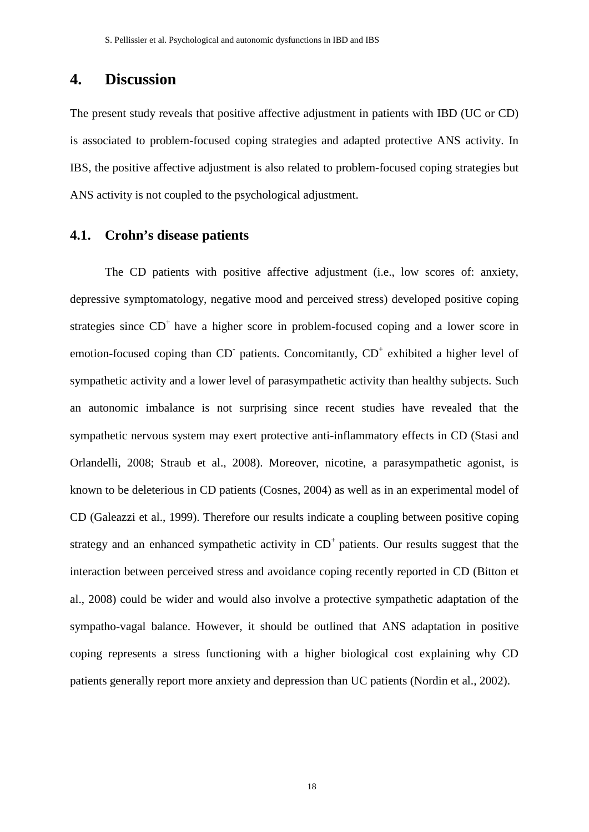## **4. Discussion**

The present study reveals that positive affective adjustment in patients with IBD (UC or CD) is associated to problem-focused coping strategies and adapted protective ANS activity. In IBS, the positive affective adjustment is also related to problem-focused coping strategies but ANS activity is not coupled to the psychological adjustment.

## **4.1. Crohn's disease patients**

The CD patients with positive affective adjustment (i.e., low scores of: anxiety, depressive symptomatology, negative mood and perceived stress) developed positive coping strategies since  $CD^+$  have a higher score in problem-focused coping and a lower score in emotion-focused coping than  $CD^-$  patients. Concomitantly,  $CD^+$  exhibited a higher level of sympathetic activity and a lower level of parasympathetic activity than healthy subjects. Such an autonomic imbalance is not surprising since recent studies have revealed that the sympathetic nervous system may exert protective anti-inflammatory effects in CD (Stasi and Orlandelli, 2008; Straub et al., 2008). Moreover, nicotine, a parasympathetic agonist, is known to be deleterious in CD patients (Cosnes, 2004) as well as in an experimental model of CD (Galeazzi et al., 1999). Therefore our results indicate a coupling between positive coping strategy and an enhanced sympathetic activity in  $CD<sup>+</sup>$  patients. Our results suggest that the interaction between perceived stress and avoidance coping recently reported in CD (Bitton et al., 2008) could be wider and would also involve a protective sympathetic adaptation of the sympatho-vagal balance. However, it should be outlined that ANS adaptation in positive coping represents a stress functioning with a higher biological cost explaining why CD patients generally report more anxiety and depression than UC patients (Nordin et al., 2002).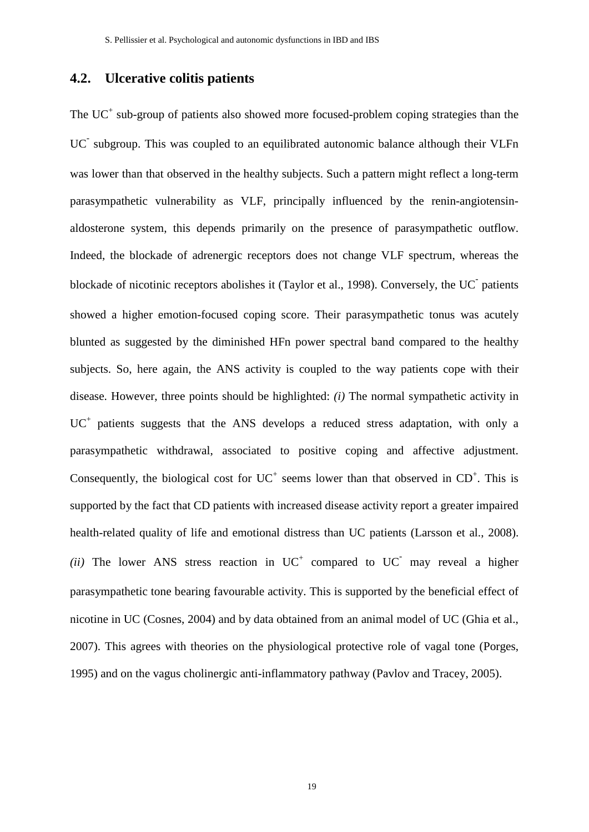## **4.2. Ulcerative colitis patients**

The  $UC^+$  sub-group of patients also showed more focused-problem coping strategies than the UC<sup>-</sup> subgroup. This was coupled to an equilibrated autonomic balance although their VLFn was lower than that observed in the healthy subjects. Such a pattern might reflect a long-term parasympathetic vulnerability as VLF, principally influenced by the renin-angiotensinaldosterone system, this depends primarily on the presence of parasympathetic outflow. Indeed, the blockade of adrenergic receptors does not change VLF spectrum, whereas the blockade of nicotinic receptors abolishes it (Taylor et al., 1998). Conversely, the UC patients showed a higher emotion-focused coping score. Their parasympathetic tonus was acutely blunted as suggested by the diminished HFn power spectral band compared to the healthy subjects. So, here again, the ANS activity is coupled to the way patients cope with their disease. However, three points should be highlighted: *(i)* The normal sympathetic activity in  $UC^+$  patients suggests that the ANS develops a reduced stress adaptation, with only a parasympathetic withdrawal, associated to positive coping and affective adjustment. Consequently, the biological cost for  $UC^+$  seems lower than that observed in  $CD^+$ . This is supported by the fact that CD patients with increased disease activity report a greater impaired health-related quality of life and emotional distress than UC patients (Larsson et al., 2008).  $(ii)$  The lower ANS stress reaction in  $UC^+$  compared to  $UC^-$  may reveal a higher parasympathetic tone bearing favourable activity. This is supported by the beneficial effect of nicotine in UC (Cosnes, 2004) and by data obtained from an animal model of UC (Ghia et al., 2007). This agrees with theories on the physiological protective role of vagal tone (Porges, 1995) and on the vagus cholinergic anti-inflammatory pathway (Pavlov and Tracey, 2005).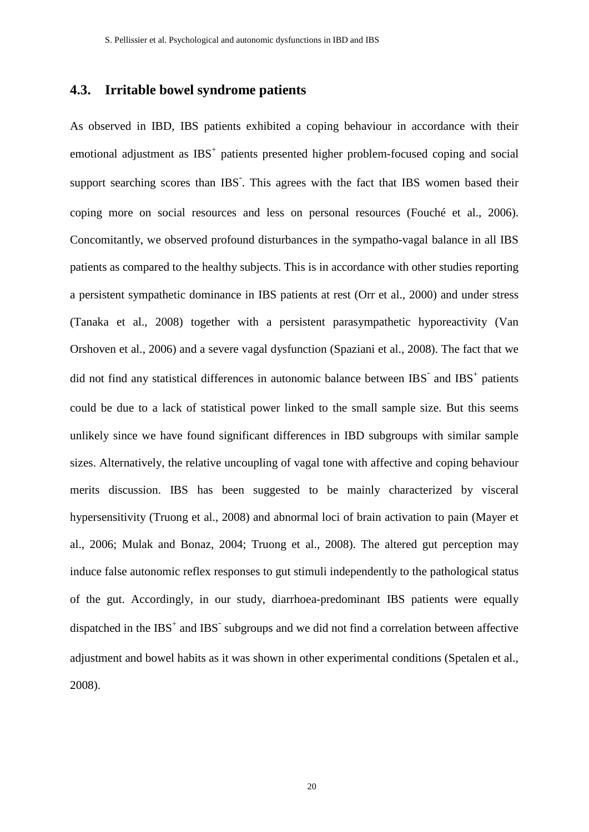## **4.3. Irritable bowel syndrome patients**

As observed in IBD, IBS patients exhibited a coping behaviour in accordance with their emotional adjustment as IBS<sup>+</sup> patients presented higher problem-focused coping and social support searching scores than IBS<sup>-</sup>. This agrees with the fact that IBS women based their coping more on social resources and less on personal resources (Fouché et al., 2006). Concomitantly, we observed profound disturbances in the sympatho-vagal balance in all IBS patients as compared to the healthy subjects. This is in accordance with other studies reporting a persistent sympathetic dominance in IBS patients at rest (Orr et al., 2000) and under stress (Tanaka et al., 2008) together with a persistent parasympathetic hyporeactivity (Van Orshoven et al., 2006) and a severe vagal dysfunction (Spaziani et al., 2008). The fact that we did not find any statistical differences in autonomic balance between  $IBS<sup>-</sup>$  and  $IBS<sup>+</sup>$  patients could be due to a lack of statistical power linked to the small sample size. But this seems unlikely since we have found significant differences in IBD subgroups with similar sample sizes. Alternatively, the relative uncoupling of vagal tone with affective and coping behaviour merits discussion. IBS has been suggested to be mainly characterized by visceral hypersensitivity (Truong et al., 2008) and abnormal loci of brain activation to pain (Mayer et al., 2006; Mulak and Bonaz, 2004; Truong et al., 2008). The altered gut perception may induce false autonomic reflex responses to gut stimuli independently to the pathological status of the gut. Accordingly, in our study, diarrhoea-predominant IBS patients were equally dispatched in the IBS<sup>+</sup> and IBS<sup>-</sup> subgroups and we did not find a correlation between affective adjustment and bowel habits as it was shown in other experimental conditions (Spetalen et al., 2008).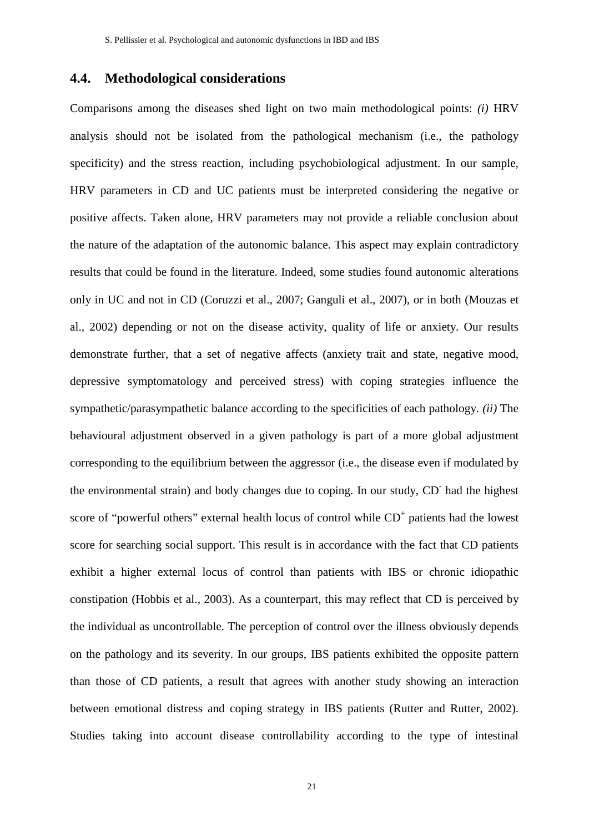## **4.4. Methodological considerations**

Comparisons among the diseases shed light on two main methodological points: *(i)* HRV analysis should not be isolated from the pathological mechanism (i.e., the pathology specificity) and the stress reaction, including psychobiological adjustment. In our sample, HRV parameters in CD and UC patients must be interpreted considering the negative or positive affects. Taken alone, HRV parameters may not provide a reliable conclusion about the nature of the adaptation of the autonomic balance. This aspect may explain contradictory results that could be found in the literature. Indeed, some studies found autonomic alterations only in UC and not in CD (Coruzzi et al., 2007; Ganguli et al., 2007), or in both (Mouzas et al., 2002) depending or not on the disease activity, quality of life or anxiety. Our results demonstrate further, that a set of negative affects (anxiety trait and state, negative mood, depressive symptomatology and perceived stress) with coping strategies influence the sympathetic/parasympathetic balance according to the specificities of each pathology. *(ii)* The behavioural adjustment observed in a given pathology is part of a more global adjustment corresponding to the equilibrium between the aggressor (i.e., the disease even if modulated by the environmental strain) and body changes due to coping. In our study, CD- had the highest score of "powerful others" external health locus of control while  $CD<sup>+</sup>$  patients had the lowest score for searching social support. This result is in accordance with the fact that CD patients exhibit a higher external locus of control than patients with IBS or chronic idiopathic constipation (Hobbis et al., 2003). As a counterpart, this may reflect that CD is perceived by the individual as uncontrollable. The perception of control over the illness obviously depends on the pathology and its severity. In our groups, IBS patients exhibited the opposite pattern than those of CD patients, a result that agrees with another study showing an interaction between emotional distress and coping strategy in IBS patients (Rutter and Rutter, 2002). Studies taking into account disease controllability according to the type of intestinal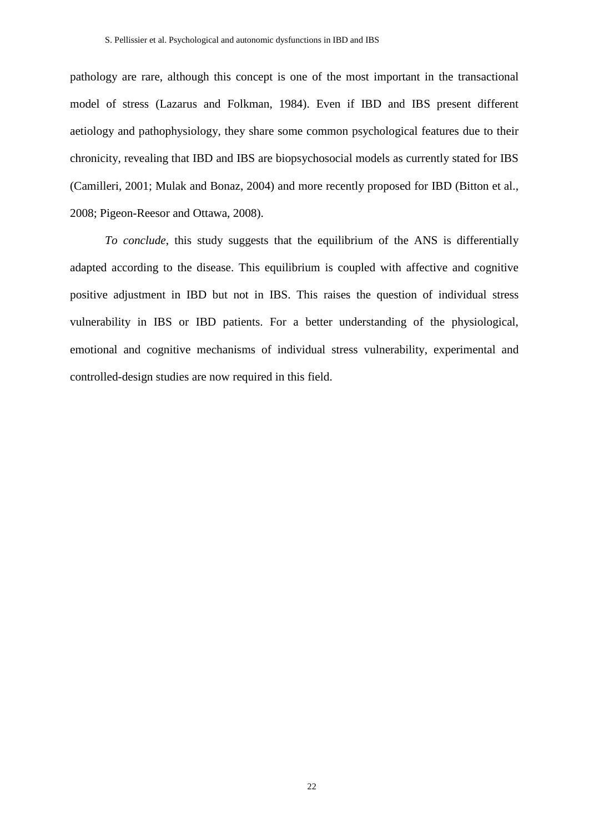pathology are rare, although this concept is one of the most important in the transactional model of stress (Lazarus and Folkman, 1984). Even if IBD and IBS present different aetiology and pathophysiology, they share some common psychological features due to their chronicity, revealing that IBD and IBS are biopsychosocial models as currently stated for IBS (Camilleri, 2001; Mulak and Bonaz, 2004) and more recently proposed for IBD (Bitton et al., 2008; Pigeon-Reesor and Ottawa, 2008).

*To conclude*, this study suggests that the equilibrium of the ANS is differentially adapted according to the disease. This equilibrium is coupled with affective and cognitive positive adjustment in IBD but not in IBS. This raises the question of individual stress vulnerability in IBS or IBD patients. For a better understanding of the physiological, emotional and cognitive mechanisms of individual stress vulnerability, experimental and controlled-design studies are now required in this field.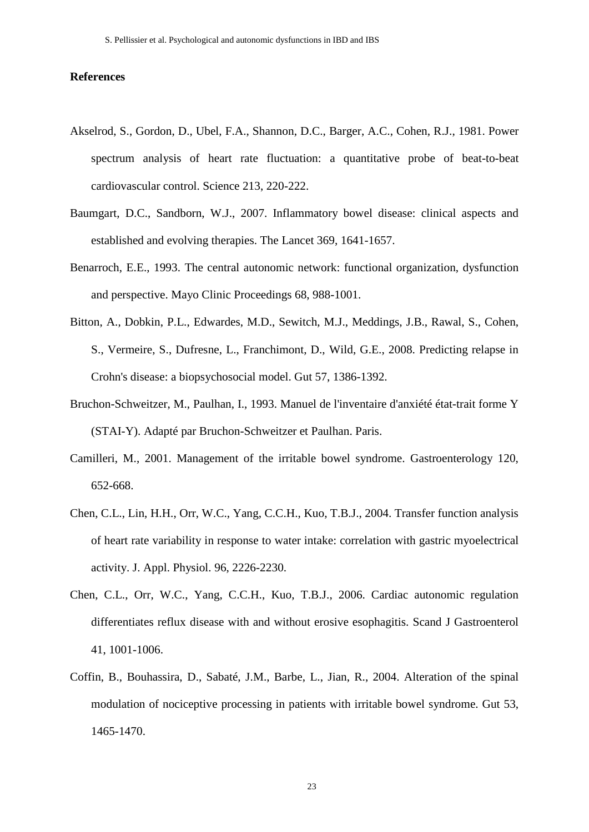#### **References**

- Akselrod, S., Gordon, D., Ubel, F.A., Shannon, D.C., Barger, A.C., Cohen, R.J., 1981. Power spectrum analysis of heart rate fluctuation: a quantitative probe of beat-to-beat cardiovascular control. Science 213, 220-222.
- Baumgart, D.C., Sandborn, W.J., 2007. Inflammatory bowel disease: clinical aspects and established and evolving therapies. The Lancet 369, 1641-1657.
- Benarroch, E.E., 1993. The central autonomic network: functional organization, dysfunction and perspective. Mayo Clinic Proceedings 68, 988-1001.
- Bitton, A., Dobkin, P.L., Edwardes, M.D., Sewitch, M.J., Meddings, J.B., Rawal, S., Cohen, S., Vermeire, S., Dufresne, L., Franchimont, D., Wild, G.E., 2008. Predicting relapse in Crohn's disease: a biopsychosocial model. Gut 57, 1386-1392.
- Bruchon-Schweitzer, M., Paulhan, I., 1993. Manuel de l'inventaire d'anxiété état-trait forme Y (STAI-Y). Adapté par Bruchon-Schweitzer et Paulhan. Paris.
- Camilleri, M., 2001. Management of the irritable bowel syndrome. Gastroenterology 120, 652-668.
- Chen, C.L., Lin, H.H., Orr, W.C., Yang, C.C.H., Kuo, T.B.J., 2004. Transfer function analysis of heart rate variability in response to water intake: correlation with gastric myoelectrical activity. J. Appl. Physiol. 96, 2226-2230.
- Chen, C.L., Orr, W.C., Yang, C.C.H., Kuo, T.B.J., 2006. Cardiac autonomic regulation differentiates reflux disease with and without erosive esophagitis. Scand J Gastroenterol 41, 1001-1006.
- Coffin, B., Bouhassira, D., Sabaté, J.M., Barbe, L., Jian, R., 2004. Alteration of the spinal modulation of nociceptive processing in patients with irritable bowel syndrome. Gut 53, 1465-1470.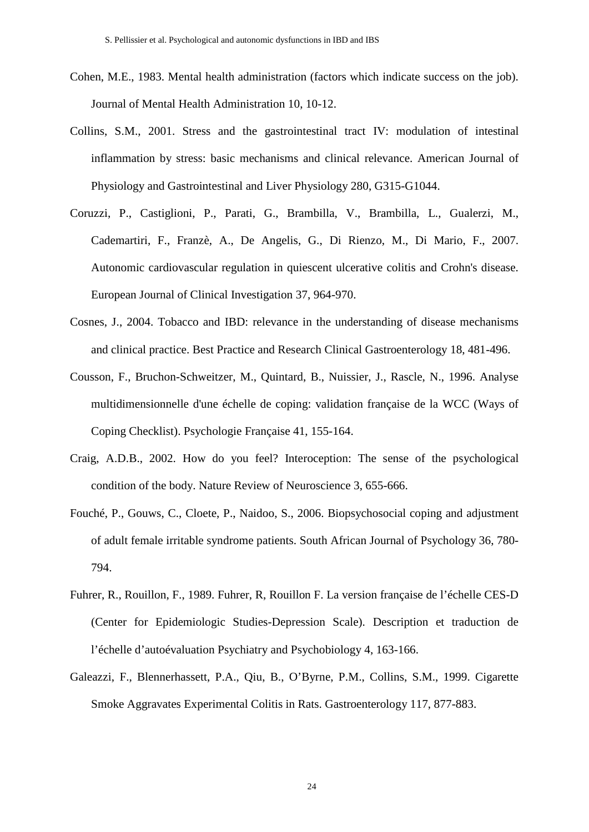- Cohen, M.E., 1983. Mental health administration (factors which indicate success on the job). Journal of Mental Health Administration 10, 10-12.
- Collins, S.M., 2001. Stress and the gastrointestinal tract IV: modulation of intestinal inflammation by stress: basic mechanisms and clinical relevance. American Journal of Physiology and Gastrointestinal and Liver Physiology 280, G315-G1044.
- Coruzzi, P., Castiglioni, P., Parati, G., Brambilla, V., Brambilla, L., Gualerzi, M., Cademartiri, F., Franzè, A., De Angelis, G., Di Rienzo, M., Di Mario, F., 2007. Autonomic cardiovascular regulation in quiescent ulcerative colitis and Crohn's disease. European Journal of Clinical Investigation 37, 964-970.
- Cosnes, J., 2004. Tobacco and IBD: relevance in the understanding of disease mechanisms and clinical practice. Best Practice and Research Clinical Gastroenterology 18, 481-496.
- Cousson, F., Bruchon-Schweitzer, M., Quintard, B., Nuissier, J., Rascle, N., 1996. Analyse multidimensionnelle d'une échelle de coping: validation française de la WCC (Ways of Coping Checklist). Psychologie Française 41, 155-164.
- Craig, A.D.B., 2002. How do you feel? Interoception: The sense of the psychological condition of the body. Nature Review of Neuroscience 3, 655-666.
- Fouché, P., Gouws, C., Cloete, P., Naidoo, S., 2006. Biopsychosocial coping and adjustment of adult female irritable syndrome patients. South African Journal of Psychology 36, 780- 794.
- Fuhrer, R., Rouillon, F., 1989. Fuhrer, R, Rouillon F. La version française de l'échelle CES-D (Center for Epidemiologic Studies-Depression Scale). Description et traduction de l'échelle d'autoévaluation Psychiatry and Psychobiology 4, 163-166.
- Galeazzi, F., Blennerhassett, P.A., Qiu, B., O'Byrne, P.M., Collins, S.M., 1999. Cigarette Smoke Aggravates Experimental Colitis in Rats. Gastroenterology 117, 877-883.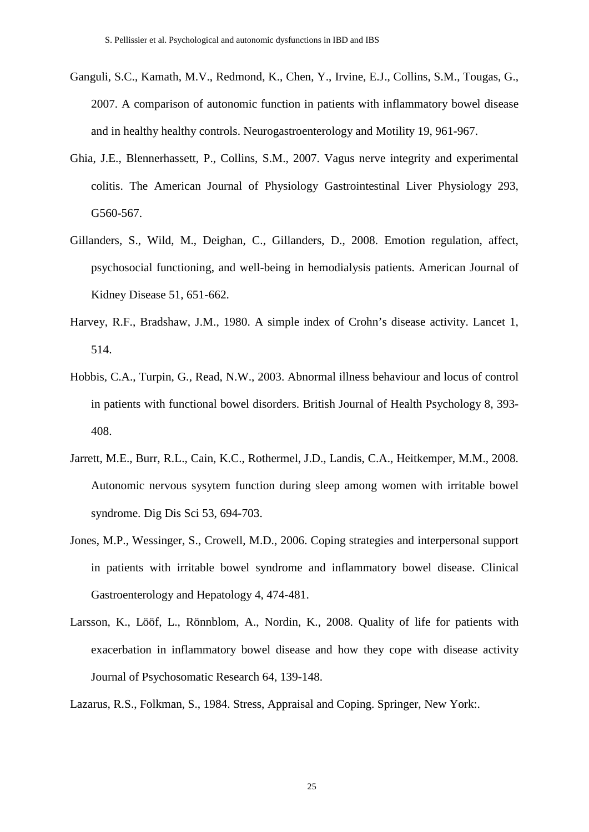- Ganguli, S.C., Kamath, M.V., Redmond, K., Chen, Y., Irvine, E.J., Collins, S.M., Tougas, G., 2007. A comparison of autonomic function in patients with inflammatory bowel disease and in healthy healthy controls. Neurogastroenterology and Motility 19, 961-967.
- Ghia, J.E., Blennerhassett, P., Collins, S.M., 2007. Vagus nerve integrity and experimental colitis. The American Journal of Physiology Gastrointestinal Liver Physiology 293, G560-567.
- Gillanders, S., Wild, M., Deighan, C., Gillanders, D., 2008. Emotion regulation, affect, psychosocial functioning, and well-being in hemodialysis patients. American Journal of Kidney Disease 51, 651-662.
- Harvey, R.F., Bradshaw, J.M., 1980. A simple index of Crohn's disease activity. Lancet 1, 514.
- Hobbis, C.A., Turpin, G., Read, N.W., 2003. Abnormal illness behaviour and locus of control in patients with functional bowel disorders. British Journal of Health Psychology 8, 393- 408.
- Jarrett, M.E., Burr, R.L., Cain, K.C., Rothermel, J.D., Landis, C.A., Heitkemper, M.M., 2008. Autonomic nervous sysytem function during sleep among women with irritable bowel syndrome. Dig Dis Sci 53, 694-703.
- Jones, M.P., Wessinger, S., Crowell, M.D., 2006. Coping strategies and interpersonal support in patients with irritable bowel syndrome and inflammatory bowel disease. Clinical Gastroenterology and Hepatology 4, 474-481.
- Larsson, K., Lööf, L., Rönnblom, A., Nordin, K., 2008. Quality of life for patients with exacerbation in inflammatory bowel disease and how they cope with disease activity Journal of Psychosomatic Research 64, 139-148.

Lazarus, R.S., Folkman, S., 1984. Stress, Appraisal and Coping. Springer, New York:.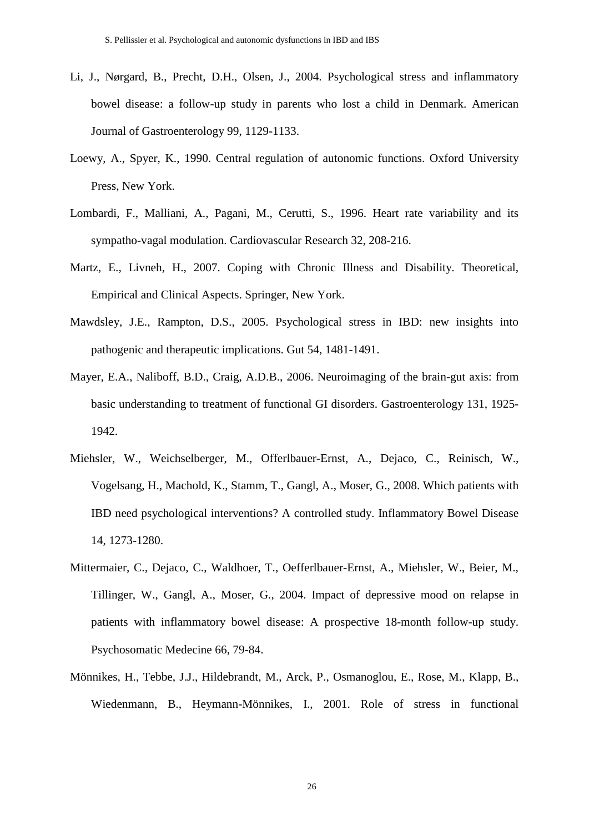- Li, J., Nørgard, B., Precht, D.H., Olsen, J., 2004. Psychological stress and inflammatory bowel disease: a follow-up study in parents who lost a child in Denmark. American Journal of Gastroenterology 99, 1129-1133.
- Loewy, A., Spyer, K., 1990. Central regulation of autonomic functions. Oxford University Press, New York.
- Lombardi, F., Malliani, A., Pagani, M., Cerutti, S., 1996. Heart rate variability and its sympatho-vagal modulation. Cardiovascular Research 32, 208-216.
- Martz, E., Livneh, H., 2007. Coping with Chronic Illness and Disability. Theoretical, Empirical and Clinical Aspects. Springer, New York.
- Mawdsley, J.E., Rampton, D.S., 2005. Psychological stress in IBD: new insights into pathogenic and therapeutic implications. Gut 54, 1481-1491.
- Mayer, E.A., Naliboff, B.D., Craig, A.D.B., 2006. Neuroimaging of the brain-gut axis: from basic understanding to treatment of functional GI disorders. Gastroenterology 131, 1925- 1942.
- Miehsler, W., Weichselberger, M., Offerlbauer-Ernst, A., Dejaco, C., Reinisch, W., Vogelsang, H., Machold, K., Stamm, T., Gangl, A., Moser, G., 2008. Which patients with IBD need psychological interventions? A controlled study. Inflammatory Bowel Disease 14, 1273-1280.
- Mittermaier, C., Dejaco, C., Waldhoer, T., Oefferlbauer-Ernst, A., Miehsler, W., Beier, M., Tillinger, W., Gangl, A., Moser, G., 2004. Impact of depressive mood on relapse in patients with inflammatory bowel disease: A prospective 18-month follow-up study. Psychosomatic Medecine 66, 79-84.
- Mönnikes, H., Tebbe, J.J., Hildebrandt, M., Arck, P., Osmanoglou, E., Rose, M., Klapp, B., Wiedenmann, B., Heymann-Mönnikes, I., 2001. Role of stress in functional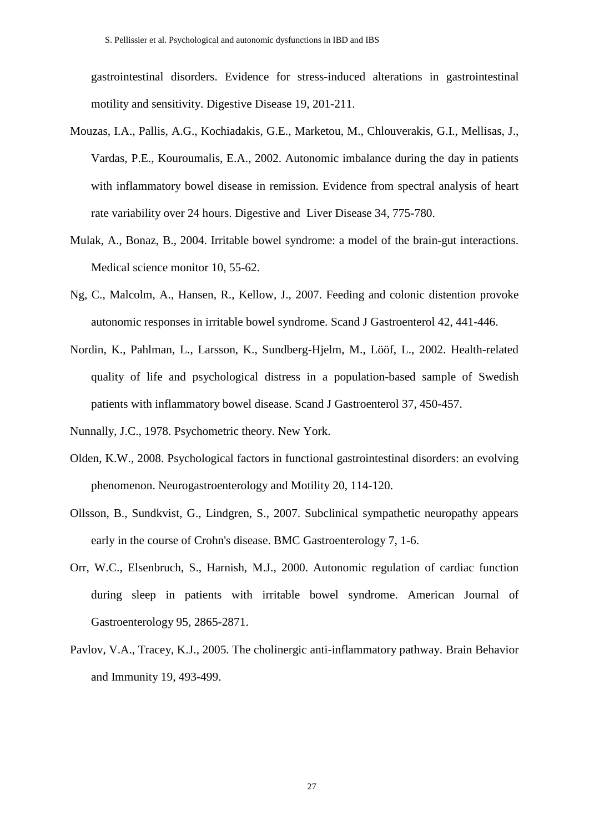gastrointestinal disorders. Evidence for stress-induced alterations in gastrointestinal motility and sensitivity. Digestive Disease 19, 201-211.

- Mouzas, I.A., Pallis, A.G., Kochiadakis, G.E., Marketou, M., Chlouverakis, G.I., Mellisas, J., Vardas, P.E., Kouroumalis, E.A., 2002. Autonomic imbalance during the day in patients with inflammatory bowel disease in remission. Evidence from spectral analysis of heart rate variability over 24 hours. Digestive and Liver Disease 34, 775-780.
- Mulak, A., Bonaz, B., 2004. Irritable bowel syndrome: a model of the brain-gut interactions. Medical science monitor 10, 55-62.
- Ng, C., Malcolm, A., Hansen, R., Kellow, J., 2007. Feeding and colonic distention provoke autonomic responses in irritable bowel syndrome. Scand J Gastroenterol 42, 441-446.
- Nordin, K., Pahlman, L., Larsson, K., Sundberg-Hjelm, M., Lööf, L., 2002. Health-related quality of life and psychological distress in a population-based sample of Swedish patients with inflammatory bowel disease. Scand J Gastroenterol 37, 450-457.
- Nunnally, J.C., 1978. Psychometric theory. New York.
- Olden, K.W., 2008. Psychological factors in functional gastrointestinal disorders: an evolving phenomenon. Neurogastroenterology and Motility 20, 114-120.
- Ollsson, B., Sundkvist, G., Lindgren, S., 2007. Subclinical sympathetic neuropathy appears early in the course of Crohn's disease. BMC Gastroenterology 7, 1-6.
- Orr, W.C., Elsenbruch, S., Harnish, M.J., 2000. Autonomic regulation of cardiac function during sleep in patients with irritable bowel syndrome. American Journal of Gastroenterology 95, 2865-2871.
- Pavlov, V.A., Tracey, K.J., 2005. The cholinergic anti-inflammatory pathway. Brain Behavior and Immunity 19, 493-499.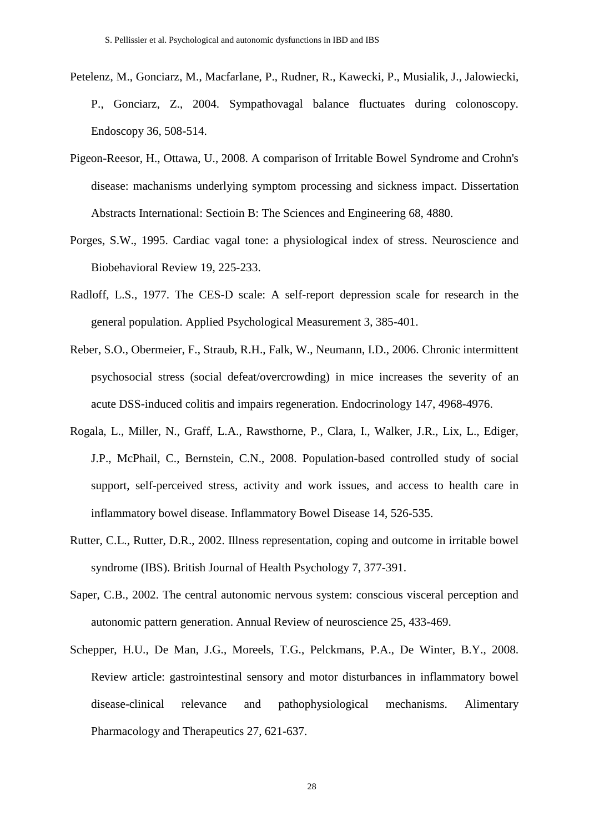- Petelenz, M., Gonciarz, M., Macfarlane, P., Rudner, R., Kawecki, P., Musialik, J., Jalowiecki, P., Gonciarz, Z., 2004. Sympathovagal balance fluctuates during colonoscopy. Endoscopy 36, 508-514.
- Pigeon-Reesor, H., Ottawa, U., 2008. A comparison of Irritable Bowel Syndrome and Crohn's disease: machanisms underlying symptom processing and sickness impact. Dissertation Abstracts International: Sectioin B: The Sciences and Engineering 68, 4880.
- Porges, S.W., 1995. Cardiac vagal tone: a physiological index of stress. Neuroscience and Biobehavioral Review 19, 225-233.
- Radloff, L.S., 1977. The CES-D scale: A self-report depression scale for research in the general population. Applied Psychological Measurement 3, 385-401.
- Reber, S.O., Obermeier, F., Straub, R.H., Falk, W., Neumann, I.D., 2006. Chronic intermittent psychosocial stress (social defeat/overcrowding) in mice increases the severity of an acute DSS-induced colitis and impairs regeneration. Endocrinology 147, 4968-4976.
- Rogala, L., Miller, N., Graff, L.A., Rawsthorne, P., Clara, I., Walker, J.R., Lix, L., Ediger, J.P., McPhail, C., Bernstein, C.N., 2008. Population-based controlled study of social support, self-perceived stress, activity and work issues, and access to health care in inflammatory bowel disease. Inflammatory Bowel Disease 14, 526-535.
- Rutter, C.L., Rutter, D.R., 2002. Illness representation, coping and outcome in irritable bowel syndrome (IBS). British Journal of Health Psychology 7, 377-391.
- Saper, C.B., 2002. The central autonomic nervous system: conscious visceral perception and autonomic pattern generation. Annual Review of neuroscience 25, 433-469.
- Schepper, H.U., De Man, J.G., Moreels, T.G., Pelckmans, P.A., De Winter, B.Y., 2008. Review article: gastrointestinal sensory and motor disturbances in inflammatory bowel disease-clinical relevance and pathophysiological mechanisms. Alimentary Pharmacology and Therapeutics 27, 621-637.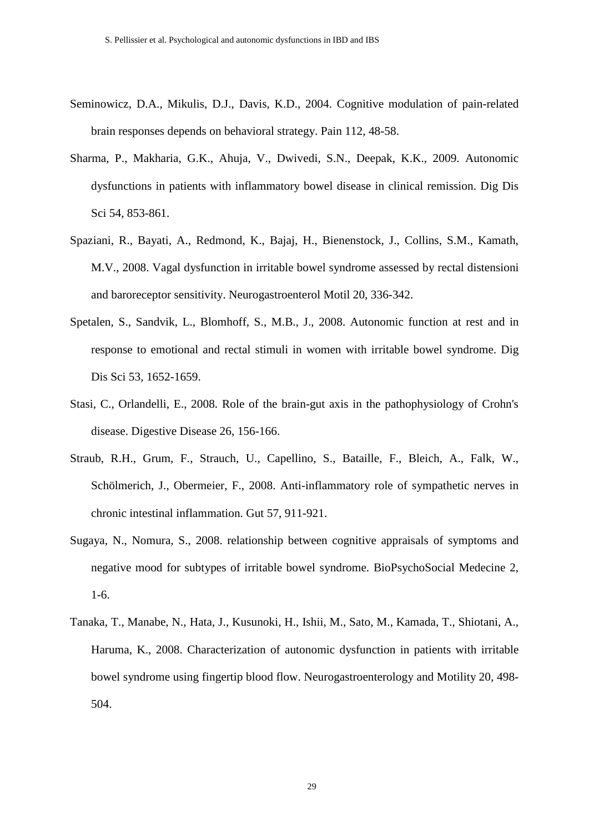- Seminowicz, D.A., Mikulis, D.J., Davis, K.D., 2004. Cognitive modulation of pain-related brain responses depends on behavioral strategy. Pain 112, 48-58.
- Sharma, P., Makharia, G.K., Ahuja, V., Dwivedi, S.N., Deepak, K.K., 2009. Autonomic dysfunctions in patients with inflammatory bowel disease in clinical remission. Dig Dis Sci 54, 853-861.
- Spaziani, R., Bayati, A., Redmond, K., Bajaj, H., Bienenstock, J., Collins, S.M., Kamath, M.V., 2008. Vagal dysfunction in irritable bowel syndrome assessed by rectal distensioni and baroreceptor sensitivity. Neurogastroenterol Motil 20, 336-342.
- Spetalen, S., Sandvik, L., Blomhoff, S., M.B., J., 2008. Autonomic function at rest and in response to emotional and rectal stimuli in women with irritable bowel syndrome. Dig Dis Sci 53, 1652-1659.
- Stasi, C., Orlandelli, E., 2008. Role of the brain-gut axis in the pathophysiology of Crohn's disease. Digestive Disease 26, 156-166.
- Straub, R.H., Grum, F., Strauch, U., Capellino, S., Bataille, F., Bleich, A., Falk, W., Schölmerich, J., Obermeier, F., 2008. Anti-inflammatory role of sympathetic nerves in chronic intestinal inflammation. Gut 57, 911-921.
- Sugaya, N., Nomura, S., 2008. relationship between cognitive appraisals of symptoms and negative mood for subtypes of irritable bowel syndrome. BioPsychoSocial Medecine 2, 1-6.
- Tanaka, T., Manabe, N., Hata, J., Kusunoki, H., Ishii, M., Sato, M., Kamada, T., Shiotani, A., Haruma, K., 2008. Characterization of autonomic dysfunction in patients with irritable bowel syndrome using fingertip blood flow. Neurogastroenterology and Motility 20, 498- 504.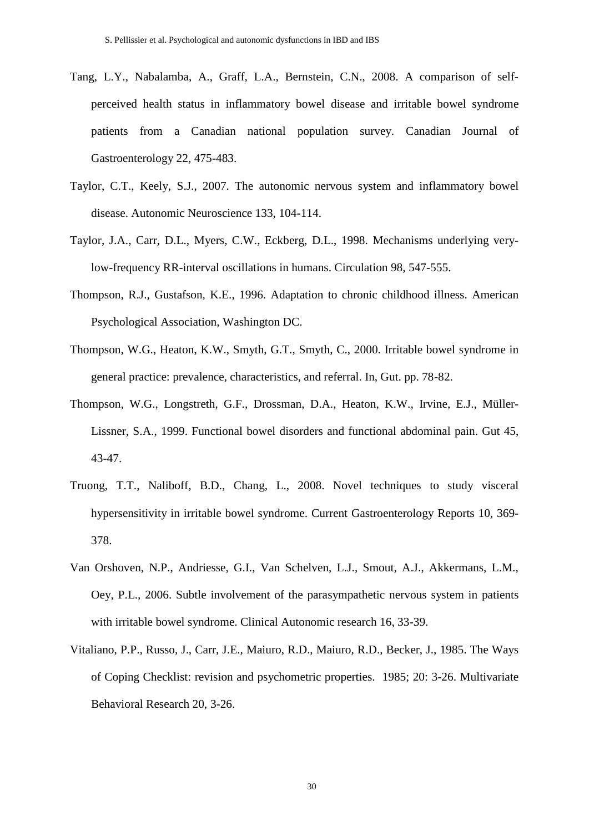- Tang, L.Y., Nabalamba, A., Graff, L.A., Bernstein, C.N., 2008. A comparison of selfperceived health status in inflammatory bowel disease and irritable bowel syndrome patients from a Canadian national population survey. Canadian Journal of Gastroenterology 22, 475-483.
- Taylor, C.T., Keely, S.J., 2007. The autonomic nervous system and inflammatory bowel disease. Autonomic Neuroscience 133, 104-114.
- Taylor, J.A., Carr, D.L., Myers, C.W., Eckberg, D.L., 1998. Mechanisms underlying verylow-frequency RR-interval oscillations in humans. Circulation 98, 547-555.
- Thompson, R.J., Gustafson, K.E., 1996. Adaptation to chronic childhood illness. American Psychological Association, Washington DC.
- Thompson, W.G., Heaton, K.W., Smyth, G.T., Smyth, C., 2000. Irritable bowel syndrome in general practice: prevalence, characteristics, and referral. In, Gut. pp. 78-82.
- Thompson, W.G., Longstreth, G.F., Drossman, D.A., Heaton, K.W., Irvine, E.J., Müller-Lissner, S.A., 1999. Functional bowel disorders and functional abdominal pain. Gut 45, 43-47.
- Truong, T.T., Naliboff, B.D., Chang, L., 2008. Novel techniques to study visceral hypersensitivity in irritable bowel syndrome. Current Gastroenterology Reports 10, 369- 378.
- Van Orshoven, N.P., Andriesse, G.I., Van Schelven, L.J., Smout, A.J., Akkermans, L.M., Oey, P.L., 2006. Subtle involvement of the parasympathetic nervous system in patients with irritable bowel syndrome. Clinical Autonomic research 16, 33-39.
- Vitaliano, P.P., Russo, J., Carr, J.E., Maiuro, R.D., Maiuro, R.D., Becker, J., 1985. The Ways of Coping Checklist: revision and psychometric properties. 1985; 20: 3-26. Multivariate Behavioral Research 20, 3-26.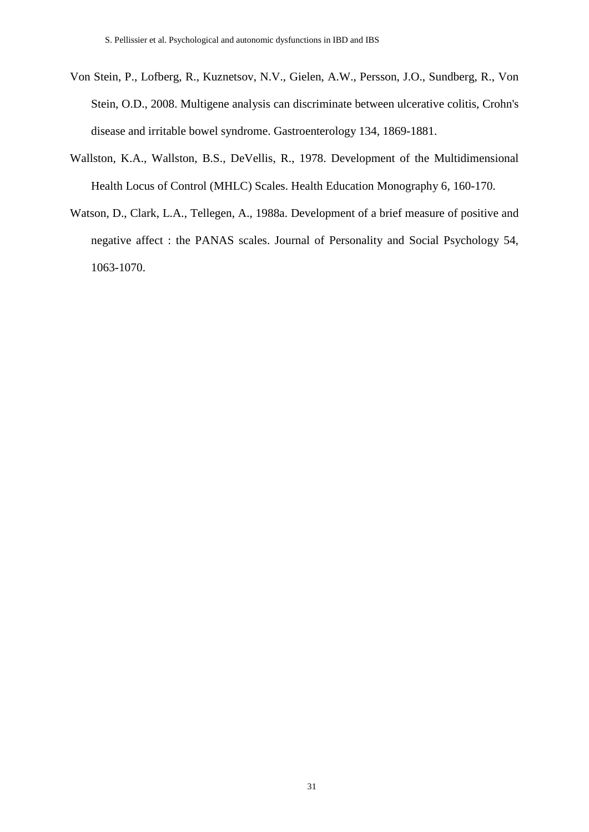- Von Stein, P., Lofberg, R., Kuznetsov, N.V., Gielen, A.W., Persson, J.O., Sundberg, R., Von Stein, O.D., 2008. Multigene analysis can discriminate between ulcerative colitis, Crohn's disease and irritable bowel syndrome. Gastroenterology 134, 1869-1881.
- Wallston, K.A., Wallston, B.S., DeVellis, R., 1978. Development of the Multidimensional Health Locus of Control (MHLC) Scales. Health Education Monography 6, 160-170.
- Watson, D., Clark, L.A., Tellegen, A., 1988a. Development of a brief measure of positive and negative affect : the PANAS scales. Journal of Personality and Social Psychology 54, 1063-1070.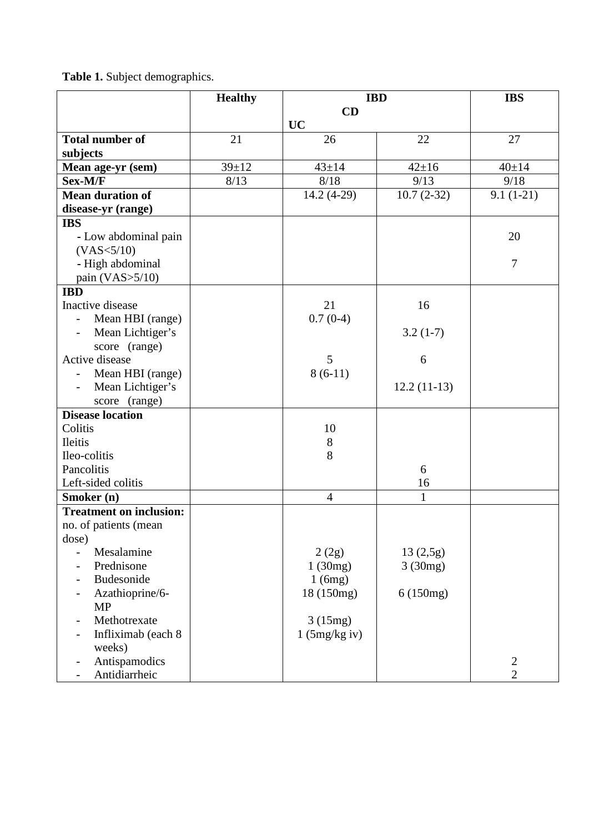**Table 1.** Subject demographics.

|                                              | <b>Healthy</b> | <b>IBD</b>                            | <b>IBS</b>    |                |
|----------------------------------------------|----------------|---------------------------------------|---------------|----------------|
|                                              |                | CD                                    |               |                |
|                                              |                | <b>UC</b>                             |               |                |
| <b>Total number of</b>                       | 21             | 26                                    | 22            | 27             |
| subjects                                     |                |                                       |               |                |
| Mean age-yr (sem)                            | $39 \pm 12$    | $43 \pm 14$                           | $42 \pm 16$   | $40 \pm 14$    |
| Sex-M/F                                      | 8/13           | 8/18                                  | 9/13          | 9/18           |
| <b>Mean duration of</b>                      |                | $14.2(4-29)$                          | $10.7(2-32)$  | $9.1(1-21)$    |
| disease-yr (range)                           |                |                                       |               |                |
| <b>IBS</b>                                   |                |                                       |               |                |
| - Low abdominal pain                         |                |                                       |               | 20             |
| (VAS < 5/10)                                 |                |                                       |               |                |
| - High abdominal                             |                |                                       |               | $\overline{7}$ |
| pain $(VAS > 5/10)$                          |                |                                       |               |                |
| <b>IBD</b>                                   |                |                                       |               |                |
| Inactive disease                             |                | 21                                    | 16            |                |
| Mean HBI (range)                             |                | $0.7(0-4)$                            |               |                |
| Mean Lichtiger's                             |                |                                       | $3.2(1-7)$    |                |
| score (range)                                |                |                                       |               |                |
| Active disease                               |                | 5                                     | 6             |                |
| Mean HBI (range)                             |                | $8(6-11)$                             |               |                |
| Mean Lichtiger's<br>$\overline{\phantom{a}}$ |                |                                       | $12.2(11-13)$ |                |
| score (range)                                |                |                                       |               |                |
| <b>Disease location</b>                      |                |                                       |               |                |
| Colitis                                      |                | 10                                    |               |                |
| <b>Ileitis</b>                               |                | $8\,$                                 |               |                |
| Ileo-colitis                                 |                | 8                                     |               |                |
| Pancolitis                                   |                |                                       | 6             |                |
| Left-sided colitis                           |                |                                       | 16            |                |
| Smoker (n)                                   |                | $\overline{4}$                        | $\mathbf{1}$  |                |
| <b>Treatment on inclusion:</b>               |                |                                       |               |                |
| no. of patients (mean                        |                |                                       |               |                |
| dose)                                        |                |                                       |               |                |
| Mesalamine<br>$\overline{a}$                 |                | 2(2g)                                 | 13(2,5g)      |                |
| Prednisone                                   |                | 1(30mg)                               | 3(30mg)       |                |
| Budesonide                                   |                | 1(6mg)                                |               |                |
| Azathioprine/6-<br>$\overline{\phantom{0}}$  |                | 18 (150mg)                            | 6(150mg)      |                |
| <b>MP</b>                                    |                |                                       |               |                |
| Methotrexate                                 |                | 3(15mg)                               |               |                |
| Infliximab (each 8                           |                | $1 \left( \frac{5mg}{kg} \right)$ iv) |               |                |
| weeks)                                       |                |                                       |               |                |
| Antispamodics                                |                |                                       |               | $\overline{c}$ |
| Antidiarrheic                                |                |                                       |               | $\overline{2}$ |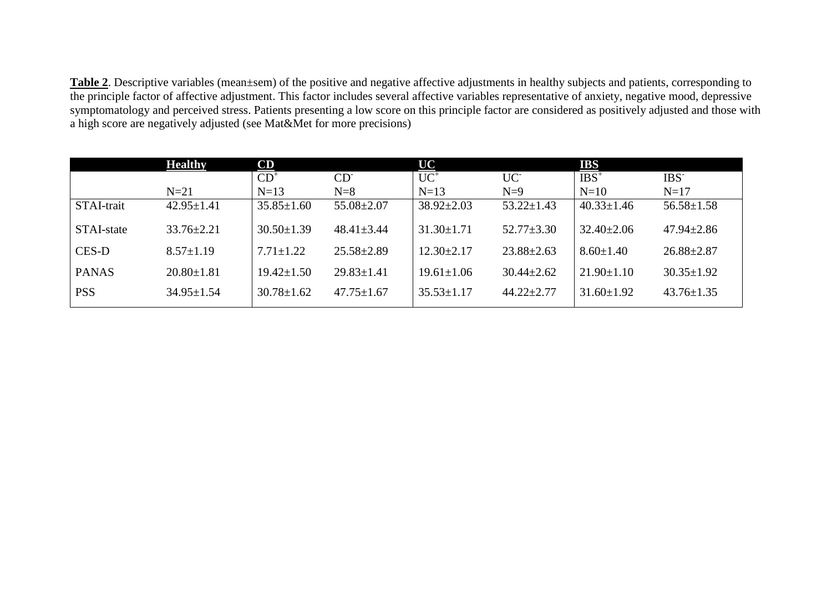**Table 2**. Descriptive variables (mean±sem) of the positive and negative affective adjustments in healthy subjects and patients, corresponding to the principle factor of affective adjustment. This factor includes several affective variables representative of anxiety, negative mood, depressive symptomatology and perceived stress. Patients presenting a low score on this principle factor are considered as positively adjusted and those with a high score are negatively adjusted (see Mat&Met for more precisions)

|              | <b>Healthy</b>   | CD               |                  | UC               |                  | <b>IBS</b>       |                  |
|--------------|------------------|------------------|------------------|------------------|------------------|------------------|------------------|
|              |                  | $CD^+$           | CD               | $UC^+$           | UC <sup>-</sup>  | $IBS^+$          | IBS <sup>-</sup> |
|              | $N=21$           | $N=13$           | $N=8$            | $N=13$           | $N=9$            | $N=10$           | $N=17$           |
| STAI-trait   | $42.95 \pm 1.41$ | $35.85 \pm 1.60$ | $55.08 \pm 2.07$ | $38.92 \pm 2.03$ | $53.22 \pm 1.43$ | $40.33 \pm 1.46$ | $56.58 \pm 1.58$ |
| STAI-state   | $33.76 \pm 2.21$ | $30.50 \pm 1.39$ | $48.41 \pm 3.44$ | $31.30 \pm 1.71$ | $52.77 \pm 3.30$ | $32.40 \pm 2.06$ | $47.94 \pm 2.86$ |
| CES-D        | $8.57 \pm 1.19$  | $7.71 \pm 1.22$  | $25.58 \pm 2.89$ | $12.30 \pm 2.17$ | $23.88 \pm 2.63$ | $8.60 \pm 1.40$  | $26.88 \pm 2.87$ |
| <b>PANAS</b> | $20.80 \pm 1.81$ | $19.42 \pm 1.50$ | $29.83 \pm 1.41$ | $19.61 \pm 1.06$ | $30.44 \pm 2.62$ | $21.90 \pm 1.10$ | $30.35 \pm 1.92$ |
| <b>PSS</b>   | $34.95 \pm 1.54$ | $30.78 \pm 1.62$ | $47.75 \pm 1.67$ | $35.53 \pm 1.17$ | $44.22 \pm 2.77$ | $31.60 \pm 1.92$ | $43.76 \pm 1.35$ |